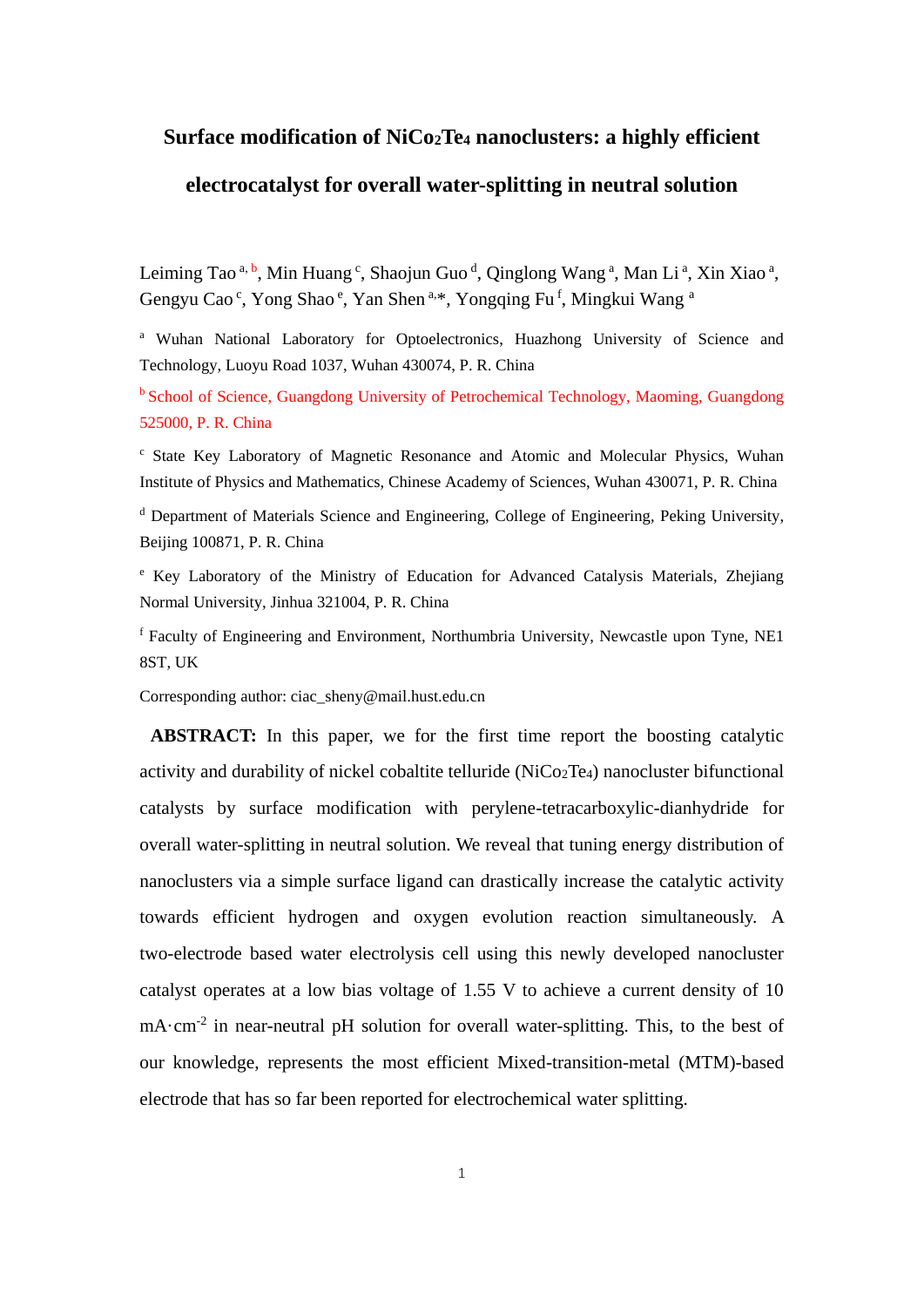# **Surface modification of NiCo2Te<sup>4</sup> nanoclusters: a highly efficient electrocatalyst for overall water-splitting in neutral solution**

Leiming Tao<sup>a, b</sup>, Min Huang<sup>c</sup>, Shaojun Guo<sup>d</sup>, Qinglong Wang<sup>a</sup>, Man Li<sup>a</sup>, Xin Xiao<sup>a</sup>, Gengyu Cao<sup>c</sup>, Yong Shao<sup>e</sup>, Yan Shen<sup>a,\*</sup>, Yongqing Fu<sup>f</sup>, Mingkui Wang<sup>a</sup>

<sup>a</sup> Wuhan National Laboratory for Optoelectronics, Huazhong University of Science and Technology, Luoyu Road 1037, Wuhan 430074, P. R. China

<sup>b</sup> School of Science, Guangdong University of Petrochemical Technology, Maoming, Guangdong 525000, P. R. China

<sup>c</sup> State Key Laboratory of Magnetic Resonance and Atomic and Molecular Physics, Wuhan Institute of Physics and Mathematics, Chinese Academy of Sciences, Wuhan 430071, P. R. China

<sup>d</sup> Department of Materials Science and Engineering, College of Engineering, Peking University, Beijing 100871, P. R. China

<sup>e</sup> Key Laboratory of the Ministry of Education for Advanced Catalysis Materials, Zhejiang Normal University, Jinhua 321004, P. R. China

<sup>f</sup> Faculty of Engineering and Environment, Northumbria University, Newcastle upon Tyne, NE1 8ST, UK

Corresponding author: ciac\_sheny@mail.hust.edu.cn

**ABSTRACT:** In this paper, we for the first time report the boosting catalytic activity and durability of nickel cobaltite telluride (NiCo2Te4) nanocluster bifunctional catalysts by surface modification with perylene-tetracarboxylic-dianhydride for overall water-splitting in neutral solution. We reveal that tuning energy distribution of nanoclusters via a simple surface ligand can drastically increase the catalytic activity towards efficient hydrogen and oxygen evolution reaction simultaneously. A two-electrode based water electrolysis cell using this newly developed nanocluster catalyst operates at a low bias voltage of 1.55 V to achieve a current density of 10 mA·cm<sup>-2</sup> in near-neutral pH solution for overall water-splitting. This, to the best of our knowledge, represents the most efficient Mixed-transition-metal (MTM)-based electrode that has so far been reported for electrochemical water splitting.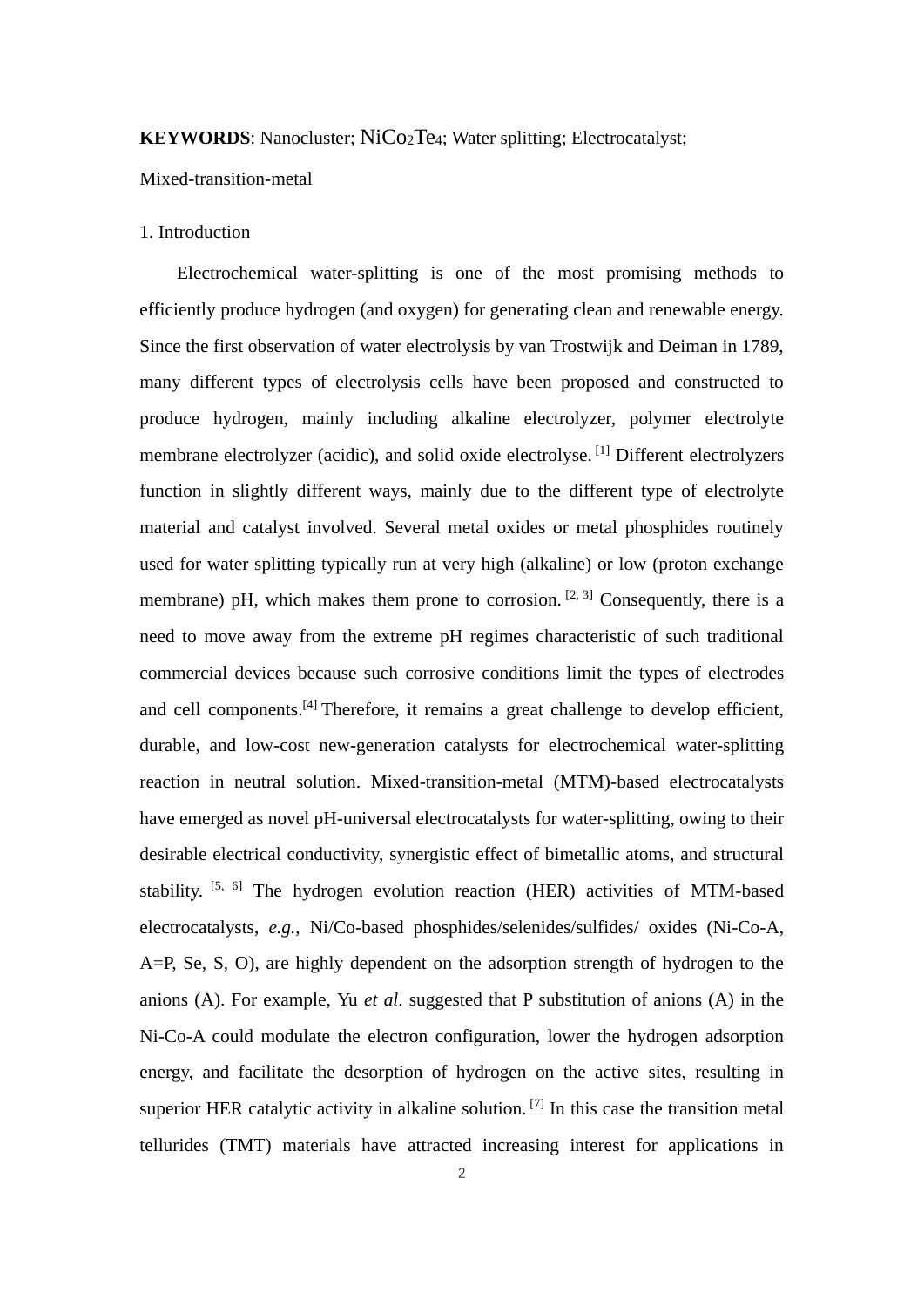# **KEYWORDS:** Nanocluster; NiCo<sub>2</sub>Te<sub>4</sub>; Water splitting; Electrocatalyst;

Mixed-transition-metal

# 1. Introduction

Electrochemical water-splitting is one of the most promising methods to efficiently produce hydrogen (and oxygen) for generating clean and renewable energy. Since the first observation of water electrolysis by van Trostwijk and Deiman in 1789, many different types of electrolysis cells have been proposed and constructed to produce hydrogen, mainly including alkaline electrolyzer, polymer electrolyte membrane electrolyzer (acidic), and solid oxide electrolyse.<sup>[1]</sup> Different electrolyzers function in slightly different ways, mainly due to the different type of electrolyte material and catalyst involved. Several metal oxides or metal phosphides routinely used for water splitting typically run at very high (alkaline) or low (proton exchange membrane) pH, which makes them prone to corrosion.  $[2, 3]$  Consequently, there is a need to move away from the extreme pH regimes characteristic of such traditional commercial devices because such corrosive conditions limit the types of electrodes and cell components.<sup>[4]</sup> Therefore, it remains a great challenge to develop efficient, durable, and low-cost new-generation catalysts for electrochemical water-splitting reaction in neutral solution. Mixed-transition-metal (MTM)-based electrocatalysts have emerged as novel pH-universal electrocatalysts for water-splitting, owing to their desirable electrical conductivity, synergistic effect of bimetallic atoms, and structural stability. [5, 6] The hydrogen evolution reaction (HER) activities of MTM-based electrocatalysts, *e.g.*, Ni/Co-based phosphides/selenides/sulfides/ oxides (Ni-Co-A, A=P, Se, S, O), are highly dependent on the adsorption strength of hydrogen to the anions (A). For example, Yu *et al*. suggested that P substitution of anions (A) in the Ni-Co-A could modulate the electron configuration, lower the hydrogen adsorption energy, and facilitate the desorption of hydrogen on the active sites, resulting in superior HER catalytic activity in alkaline solution. <sup>[7]</sup> In this case the transition metal tellurides (TMT) materials have attracted increasing interest for applications in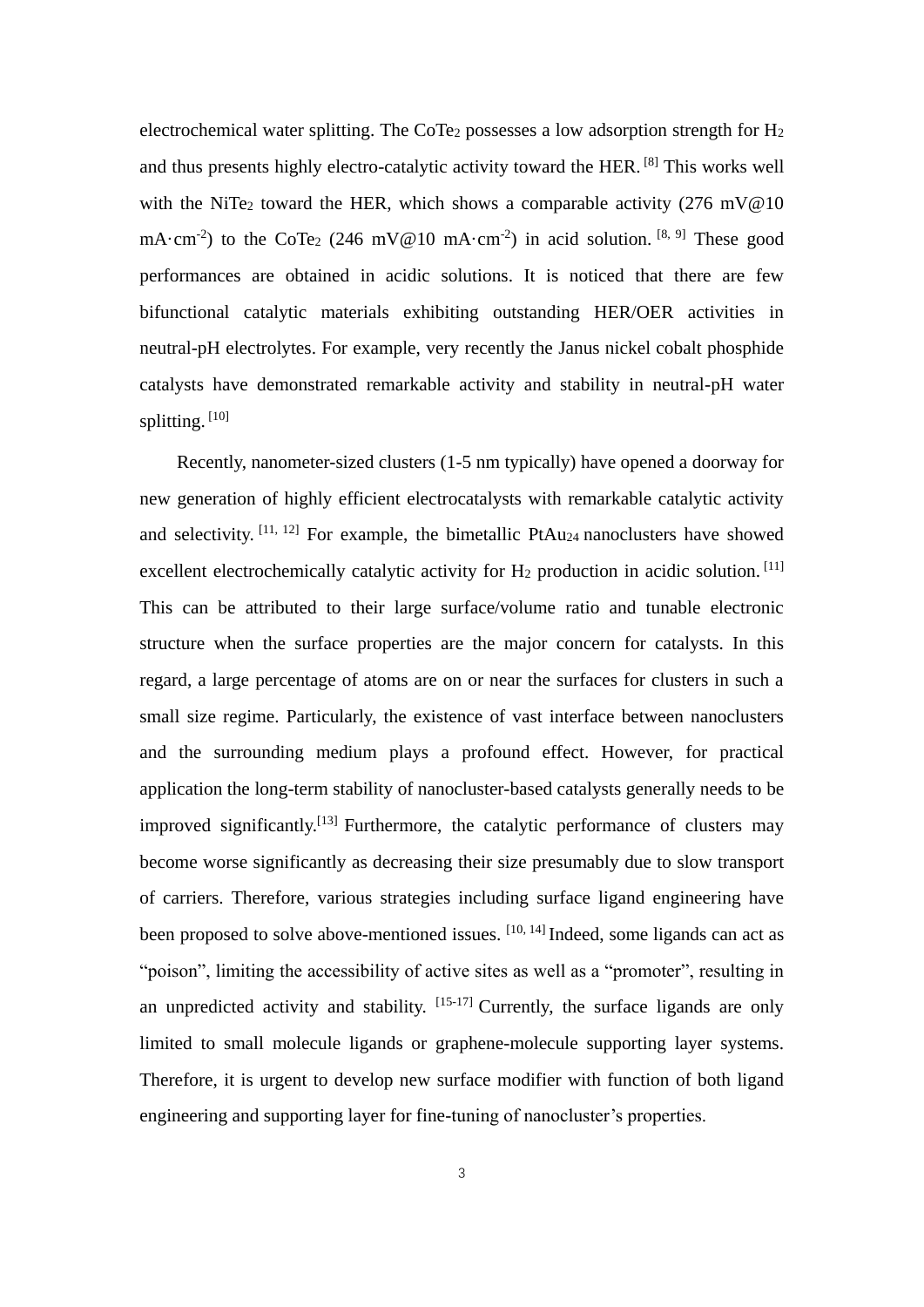electrochemical water splitting. The CoTe<sub>2</sub> possesses a low adsorption strength for  $H_2$ and thus presents highly electro-catalytic activity toward the HER. [8] This works well with the NiTe<sub>2</sub> toward the HER, which shows a comparable activity  $(276 \text{ mV@10})$ mA·cm<sup>-2</sup>) to the CoTe<sub>2</sub> (246 mV@10 mA·cm<sup>-2</sup>) in acid solution. <sup>[8, 9]</sup> These good performances are obtained in acidic solutions. It is noticed that there are few bifunctional catalytic materials exhibiting outstanding HER/OER activities in neutral-pH electrolytes. For example, very recently the Janus nickel cobalt phosphide catalysts have demonstrated remarkable activity and stability in neutral-pH water splitting. [10]

Recently, nanometer-sized clusters (1-5 nm typically) have opened a doorway for new generation of highly efficient electrocatalysts with remarkable catalytic activity and selectivity.  $[11, 12]$  For example, the bimetallic PtAu<sub>24</sub> nanoclusters have showed excellent electrochemically catalytic activity for H<sub>2</sub> production in acidic solution.<sup>[11]</sup> This can be attributed to their large surface/volume ratio and tunable electronic structure when the surface properties are the major concern for catalysts. In this regard, a large percentage of atoms are on or near the surfaces for clusters in such a small size regime. Particularly, the existence of vast interface between nanoclusters and the surrounding medium plays a profound effect. However, for practical application the long-term stability of nanocluster-based catalysts generally needs to be improved significantly.<sup>[13]</sup> Furthermore, the catalytic performance of clusters may become worse significantly as decreasing their size presumably due to slow transport of carriers. Therefore, various strategies including surface ligand engineering have been proposed to solve above-mentioned issues.  $[10, 14]$  Indeed, some ligands can act as "poison", limiting the accessibility of active sites as well as a "promoter", resulting in an unpredicted activity and stability.  $[15-17]$  Currently, the surface ligands are only limited to small molecule ligands or graphene-molecule supporting layer systems. Therefore, it is urgent to develop new surface modifier with function of both ligand engineering and supporting layer for fine-tuning of nanocluster's properties.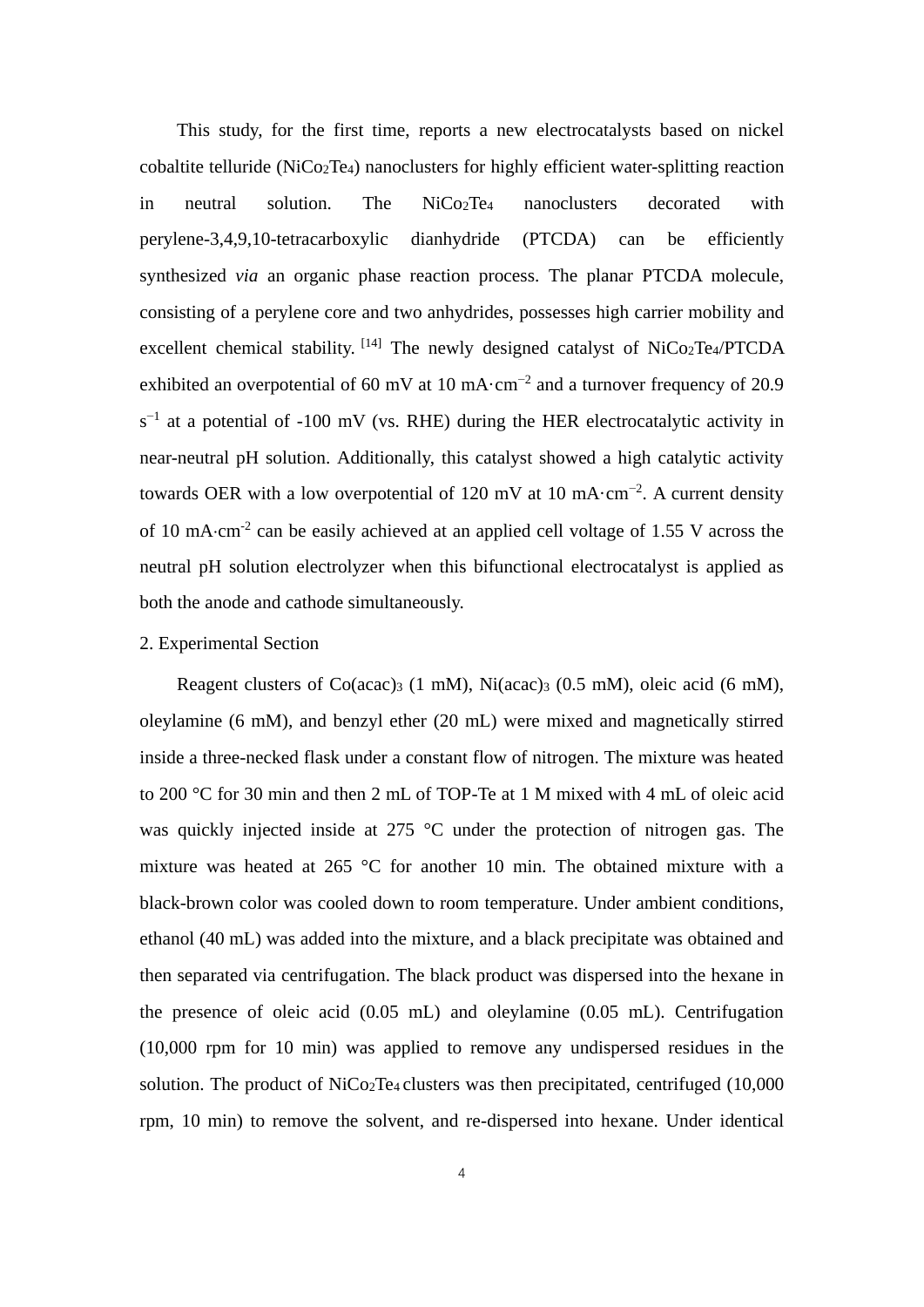This study, for the first time, reports a new electrocatalysts based on nickel cobaltite telluride (NiCo2Te4) nanoclusters for highly efficient water-splitting reaction in neutral solution. The NiCo<sub>2</sub>Te<sub>4</sub> nanoclusters decorated with perylene-3,4,9,10-tetracarboxylic dianhydride (PTCDA) can be efficiently synthesized *via* an organic phase reaction process. The planar PTCDA molecule, consisting of a perylene core and two anhydrides, possesses high carrier mobility and excellent chemical stability.  $[14]$  The newly designed catalyst of NiCo<sub>2</sub>Te<sub>4</sub>/PTCDA exhibited an overpotential of 60 mV at 10 mA $\cdot$ cm<sup>-2</sup> and a turnover frequency of 20.9  $s^{-1}$  at a potential of -100 mV (vs. RHE) during the HER electrocatalytic activity in near-neutral pH solution. Additionally, this catalyst showed a high catalytic activity towards OER with a low overpotential of 120 mV at 10 mA $\cdot$ cm<sup>-2</sup>. A current density of 10 mA·cm<sup>-2</sup> can be easily achieved at an applied cell voltage of 1.55 V across the neutral pH solution electrolyzer when this bifunctional electrocatalyst is applied as both the anode and cathode simultaneously.

# 2. Experimental Section

Reagent clusters of Co(acac)<sub>3</sub> (1 mM), Ni(acac)<sub>3</sub> (0.5 mM), oleic acid (6 mM), oleylamine (6 mM), and benzyl ether (20 mL) were mixed and magnetically stirred inside a three-necked flask under a constant flow of nitrogen. The mixture was heated to 200 °C for 30 min and then 2 mL of TOP-Te at 1 M mixed with 4 mL of oleic acid was quickly injected inside at 275 °C under the protection of nitrogen gas. The mixture was heated at 265 °C for another 10 min. The obtained mixture with a black-brown color was cooled down to room temperature. Under ambient conditions, ethanol (40 mL) was added into the mixture, and a black precipitate was obtained and then separated via centrifugation. The black product was dispersed into the hexane in the presence of oleic acid (0.05 mL) and oleylamine (0.05 mL). Centrifugation (10,000 rpm for 10 min) was applied to remove any undispersed residues in the solution. The product of  $\text{NiCo2Te}_{4}$  clusters was then precipitated, centrifuged (10,000) rpm, 10 min) to remove the solvent, and re-dispersed into hexane. Under identical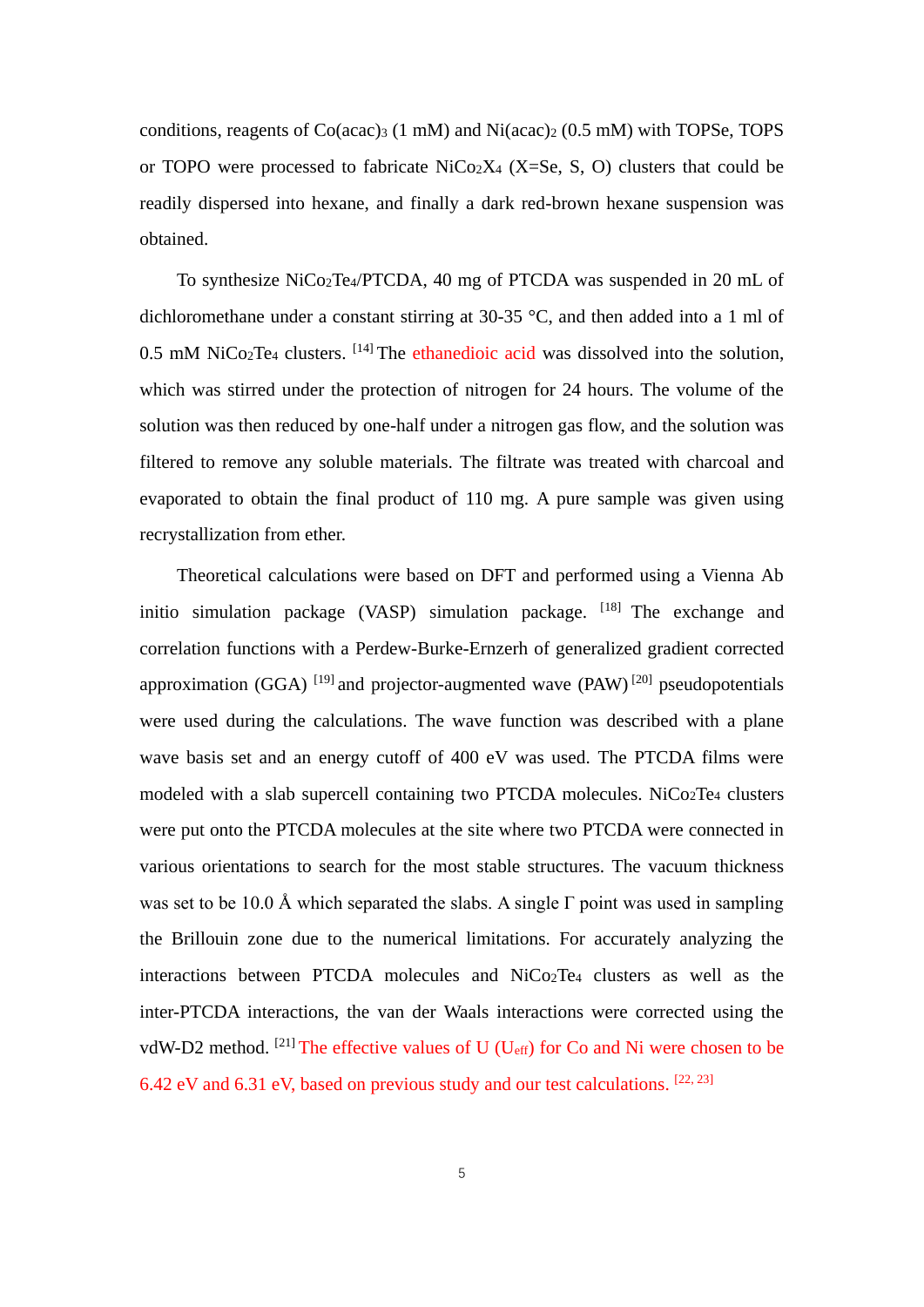conditions, reagents of  $Co(acac)_{3}$  (1 mM) and Ni $(acac)_{2}$  (0.5 mM) with TOPSe, TOPS or TOPO were processed to fabricate  $NiCo<sub>2</sub>X<sub>4</sub>$  (X=Se, S, O) clusters that could be readily dispersed into hexane, and finally a dark red-brown hexane suspension was obtained.

To synthesize NiCo2Te4/PTCDA, 40 mg of PTCDA was suspended in 20 mL of dichloromethane under a constant stirring at 30-35 °C, and then added into a 1 ml of 0.5 mM NiCo<sub>2</sub>Te<sub>4</sub> clusters.  $[14]$  The ethanedioic acid was dissolved into the solution, which was stirred under the protection of nitrogen for 24 hours. The volume of the solution was then reduced by one-half under a nitrogen gas flow, and the solution was filtered to remove any soluble materials. The filtrate was treated with charcoal and evaporated to obtain the final product of 110 mg. A pure sample was given using recrystallization from ether.

Theoretical calculations were based on DFT and performed using a Vienna Ab initio simulation package (VASP) simulation package.  $[18]$  The exchange and correlation functions with a Perdew-Burke-Ernzerh of generalized gradient corrected approximation (GGA)  $^{[19]}$  and projector-augmented wave (PAW)  $^{[20]}$  pseudopotentials were used during the calculations. The wave function was described with a plane wave basis set and an energy cutoff of 400 eV was used. The PTCDA films were modeled with a slab supercell containing two PTCDA molecules. NiCo2Te<sup>4</sup> clusters were put onto the PTCDA molecules at the site where two PTCDA were connected in various orientations to search for the most stable structures. The vacuum thickness was set to be 10.0 Å which separated the slabs. A single  $\Gamma$  point was used in sampling the Brillouin zone due to the numerical limitations. For accurately analyzing the interactions between PTCDA molecules and NiCo2Te<sup>4</sup> clusters as well as the inter-PTCDA interactions, the van der Waals interactions were corrected using the vdW-D2 method.  $[21]$  The effective values of U (U<sub>eff</sub>) for Co and Ni were chosen to be 6.42 eV and 6.31 eV, based on previous study and our test calculations.  $[22, 23]$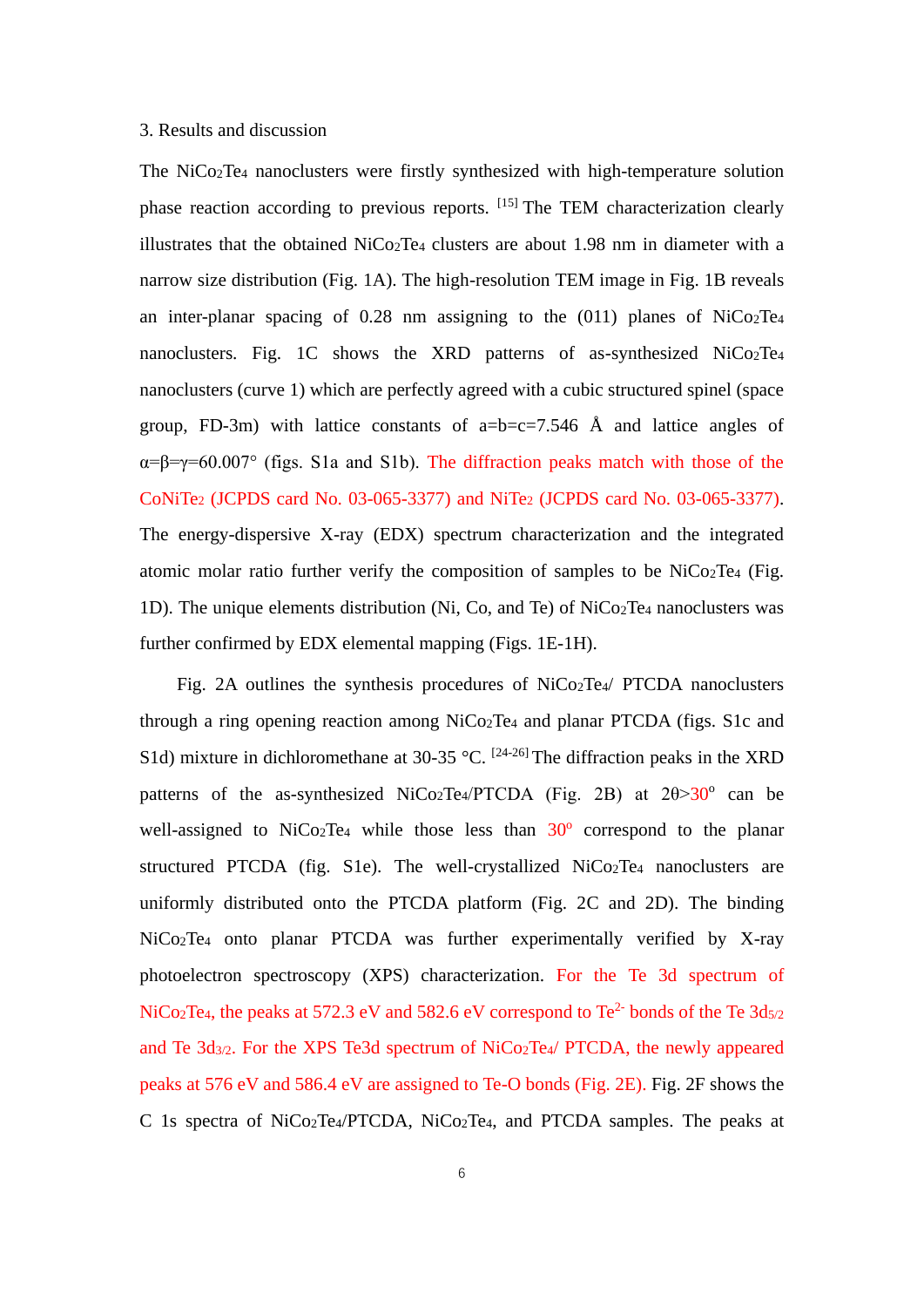#### 3. Results and discussion

The NiCo2Te<sup>4</sup> nanoclusters were firstly synthesized with high-temperature solution phase reaction according to previous reports. [15] The TEM characterization clearly illustrates that the obtained NiCo2Te<sup>4</sup> clusters are about 1.98 nm in diameter with a narrow size distribution (Fig. 1A). The high-resolution TEM image in Fig. 1B reveals an inter-planar spacing of  $0.28$  nm assigning to the  $(011)$  planes of NiCo<sub>2</sub>Te<sub>4</sub> nanoclusters. Fig. 1C shows the XRD patterns of as-synthesized NiCo<sub>2</sub>Te<sub>4</sub> nanoclusters (curve 1) which are perfectly agreed with a cubic structured spinel (space group, FD-3m) with lattice constants of  $a=b=c=7.546$  Å and lattice angles of  $\alpha = \beta = \gamma = 60.007$ ° (figs. S1a and S1b). The diffraction peaks match with those of the CoNiTe<sup>2</sup> (JCPDS card No. 03-065-3377) and NiTe<sup>2</sup> (JCPDS card No. 03-065-3377). The energy-dispersive X-ray (EDX) spectrum characterization and the integrated atomic molar ratio further verify the composition of samples to be NiCo2Te<sup>4</sup> (Fig. 1D). The unique elements distribution (Ni, Co, and Te) of NiCo2Te<sup>4</sup> nanoclusters was further confirmed by EDX elemental mapping (Figs. 1E-1H).

Fig. 2A outlines the synthesis procedures of NiCo<sub>2</sub>Te<sub>4</sub>/ PTCDA nanoclusters through a ring opening reaction among NiCo2Te<sup>4</sup> and planar PTCDA (figs. S1c and S1d) mixture in dichloromethane at 30-35 °C.  $[24-26]$  The diffraction peaks in the XRD patterns of the as-synthesized NiCo<sub>2</sub>Te<sub>4</sub>/PTCDA (Fig. 2B) at  $2\theta > 30^{\circ}$  can be well-assigned to NiCo<sub>2</sub>Te<sub>4</sub> while those less than  $30^{\circ}$  correspond to the planar structured PTCDA (fig. S1e). The well-crystallized  $NiCo<sub>2</sub>Te<sub>4</sub>$  nanoclusters are uniformly distributed onto the PTCDA platform (Fig. 2C and 2D). The binding NiCo2Te<sup>4</sup> onto planar PTCDA was further experimentally verified by X-ray photoelectron spectroscopy (XPS) characterization. For the Te 3d spectrum of NiCo<sub>2</sub>Te<sub>4</sub>, the peaks at 572.3 eV and 582.6 eV correspond to Te<sup>2-</sup> bonds of the Te  $3d_{5/2}$ and Te 3d3/2. For the XPS Te3d spectrum of NiCo2Te4/ PTCDA, the newly appeared peaks at 576 eV and 586.4 eV are assigned to Te-O bonds (Fig. 2E). Fig. 2F shows the C 1s spectra of NiCo2Te4/PTCDA, NiCo2Te4, and PTCDA samples. The peaks at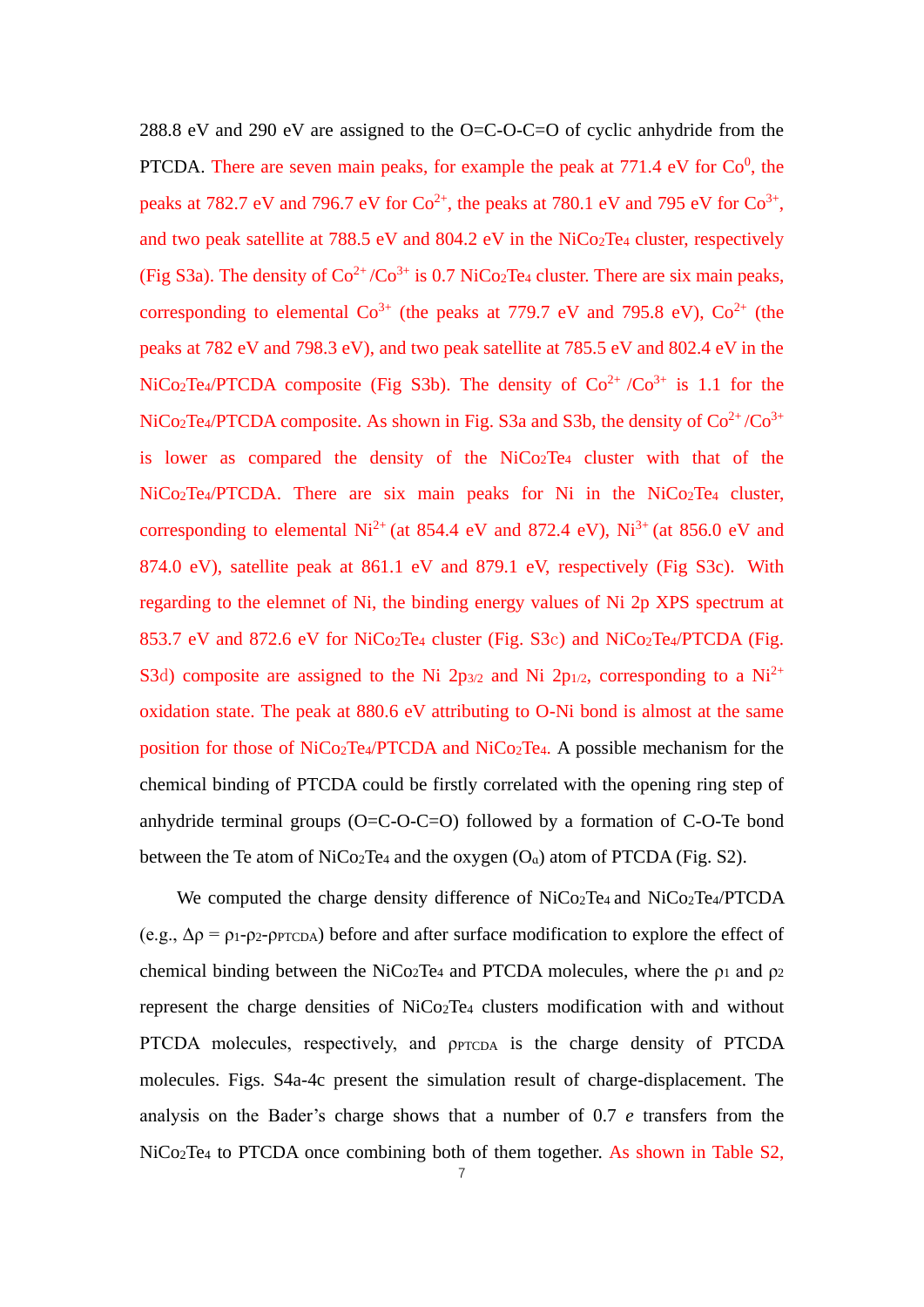288.8 eV and 290 eV are assigned to the O=C-O-C=O of cyclic anhydride from the PTCDA. There are seven main peaks, for example the peak at  $771.4 \text{ eV}$  for  $Co<sup>0</sup>$ , the peaks at 782.7 eV and 796.7 eV for  $Co^{2+}$ , the peaks at 780.1 eV and 795 eV for  $Co^{3+}$ , and two peak satellite at 788.5 eV and 804.2 eV in the NiCo2Te<sup>4</sup> cluster, respectively (Fig S3a). The density of  $Co^{2+}/Co^{3+}$  is 0.7 NiCo<sub>2</sub>Te<sub>4</sub> cluster. There are six main peaks, corresponding to elemental  $Co^{3+}$  (the peaks at 779.7 eV and 795.8 eV),  $Co^{2+}$  (the peaks at 782 eV and 798.3 eV), and two peak satellite at 785.5 eV and 802.4 eV in the NiCo<sub>2</sub>Te<sub>4</sub>/PTCDA composite (Fig S3b). The density of  $Co^{2+}/Co^{3+}$  is 1.1 for the NiCo<sub>2</sub>Te<sub>4</sub>/PTCDA composite. As shown in Fig. S3a and S3b, the density of  $Co^{2+}/Co^{3+}$ is lower as compared the density of the NiCo2Te<sup>4</sup> cluster with that of the NiCo<sub>2</sub>Te<sub>4</sub>/PTCDA. There are six main peaks for Ni in the NiCo<sub>2</sub>Te<sub>4</sub> cluster, corresponding to elemental  $Ni^{2+}$  (at 854.4 eV and 872.4 eV),  $Ni^{3+}$  (at 856.0 eV and 874.0 eV), satellite peak at 861.1 eV and 879.1 eV, respectively (Fig S3c). With regarding to the elemnet of Ni, the binding energy values of Ni 2p XPS spectrum at 853.7 eV and 872.6 eV for NiCo2Te<sup>4</sup> cluster (Fig. S3c) and NiCo2Te4/PTCDA (Fig. S3d) composite are assigned to the Ni 2p<sub>3/2</sub> and Ni 2p<sub>1/2</sub>, corresponding to a Ni<sup>2+</sup> oxidation state. The peak at 880.6 eV attributing to O-Ni bond is almost at the same position for those of NiCo2Te4/PTCDA and NiCo2Te4. A possible mechanism for the chemical binding of PTCDA could be firstly correlated with the opening ring step of anhydride terminal groups  $(O=C-O-C=O)$  followed by a formation of  $C-O-Te$  bond between the Te atom of  $NiCo<sub>2</sub>Te<sub>4</sub>$  and the oxygen  $(O<sub>a</sub>)$  atom of PTCDA (Fig. S2).

We computed the charge density difference of NiCo<sub>2</sub>Te<sub>4</sub> and NiCo<sub>2</sub>Te<sub>4</sub>/PTCDA (e.g.,  $\Delta \rho = \rho_1 - \rho_2 - \rho p \gamma c_D$ ) before and after surface modification to explore the effect of chemical binding between the NiCo<sub>2</sub>Te<sub>4</sub> and PTCDA molecules, where the  $\rho_1$  and  $\rho_2$ represent the charge densities of NiCo2Te<sup>4</sup> clusters modification with and without PTCDA molecules, respectively, and  $\rho$ PTCDA is the charge density of PTCDA molecules. Figs. S4a-4c present the simulation result of charge-displacement. The analysis on the Bader's charge shows that a number of 0.7 *e* transfers from the NiCo2Te<sup>4</sup> to PTCDA once combining both of them together. As shown in Table S2,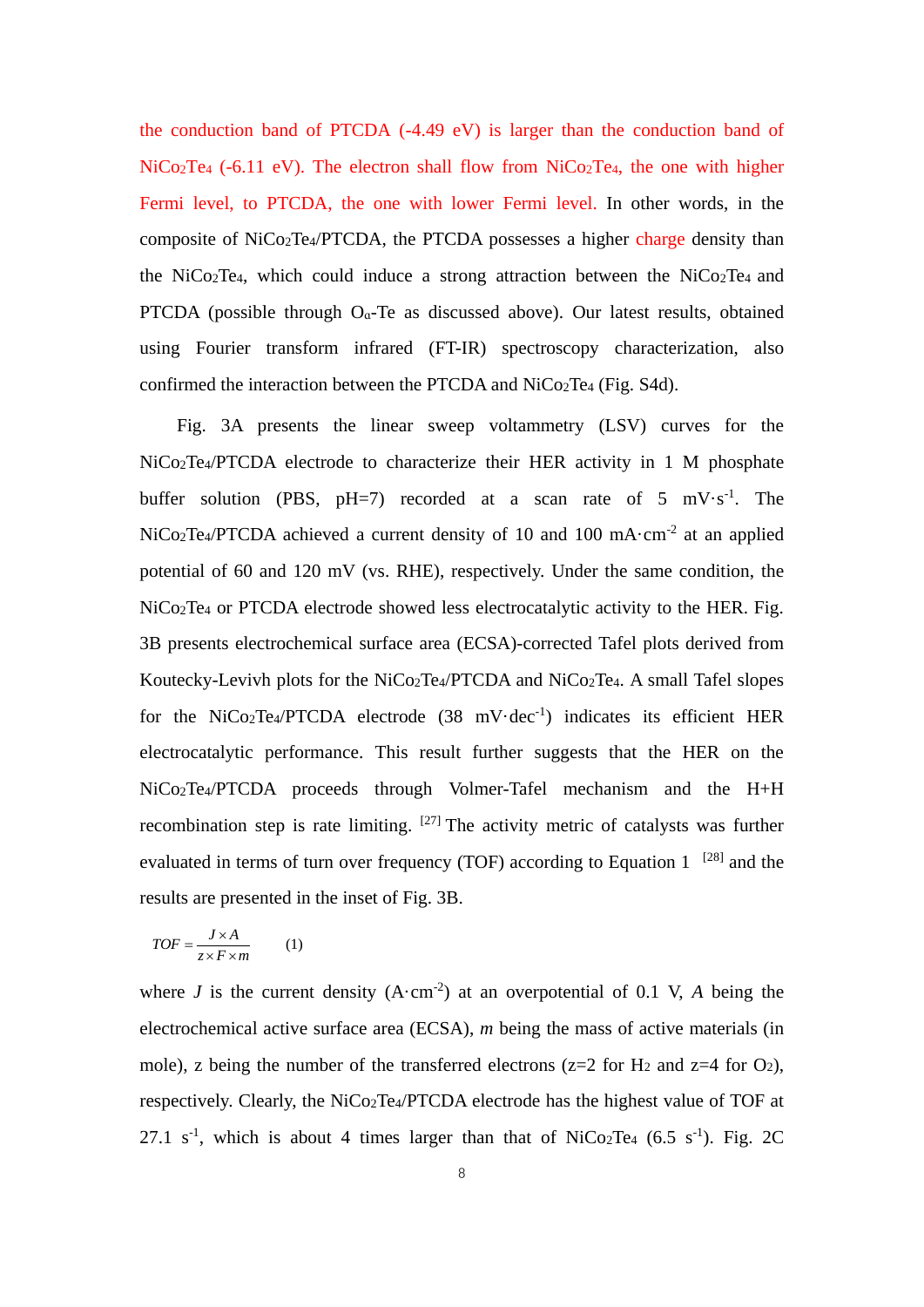the conduction band of PTCDA (-4.49 eV) is larger than the conduction band of  $NiCo<sub>2</sub>Te<sub>4</sub>$  (-6.11 eV). The electron shall flow from  $NiCo<sub>2</sub>Te<sub>4</sub>$ , the one with higher Fermi level, to PTCDA, the one with lower Fermi level. In other words, in the composite of NiCo2Te4/PTCDA, the PTCDA possesses a higher charge density than the NiCo2Te4, which could induce a strong attraction between the NiCo2Te4 and PTCDA (possible through  $O_a$ -Te as discussed above). Our latest results, obtained using Fourier transform infrared (FT-IR) spectroscopy characterization, also confirmed the interaction between the PTCDA and NiCo2Te<sup>4</sup> (Fig. S4d).

Fig. 3A presents the linear sweep voltammetry (LSV) curves for the NiCo2Te4/PTCDA electrode to characterize their HER activity in 1 M phosphate buffer solution (PBS,  $pH=7$ ) recorded at a scan rate of 5 mV $\cdot$ s<sup>-1</sup>. The  $NiCo<sub>2</sub>Te<sub>4</sub>/PTCDA$  achieved a current density of 10 and 100 mA $\cdot$ cm<sup>-2</sup> at an applied potential of 60 and 120 mV (vs. RHE), respectively. Under the same condition, the NiCo2Te<sup>4</sup> or PTCDA electrode showed less electrocatalytic activity to the HER. Fig. 3B presents electrochemical surface area (ECSA)-corrected Tafel plots derived from Koutecky-Levivh plots for the NiCo<sub>2</sub>Te<sub>4</sub>/PTCDA and NiCo<sub>2</sub>Te<sub>4</sub>. A small Tafel slopes for the NiCo<sub>2</sub>Te<sub>4</sub>/PTCDA electrode  $(38 \text{ mV-dec}^{-1})$  indicates its efficient HER electrocatalytic performance. This result further suggests that the HER on the NiCo2Te4/PTCDA proceeds through Volmer-Tafel mechanism and the H+H recombination step is rate limiting.  $[27]$  The activity metric of catalysts was further evaluated in terms of turn over frequency (TOF) according to Equation  $1$  [28] and the results are presented in the inset of Fig. 3B.

$$
TOF = \frac{J \times A}{z \times F \times m} \tag{1}
$$

where  $J$  is the current density  $(A \cdot cm^{-2})$  at an overpotential of 0.1 V,  $A$  being the electrochemical active surface area (ECSA), *m* being the mass of active materials (in mole), z being the number of the transferred electrons ( $z=2$  for  $H_2$  and  $z=4$  for  $O_2$ ), respectively. Clearly, the NiCo2Te4/PTCDA electrode has the highest value of TOF at 27.1 s<sup>-1</sup>, which is about 4 times larger than that of NiCo<sub>2</sub>Te<sub>4</sub> (6.5 s<sup>-1</sup>). Fig. 2C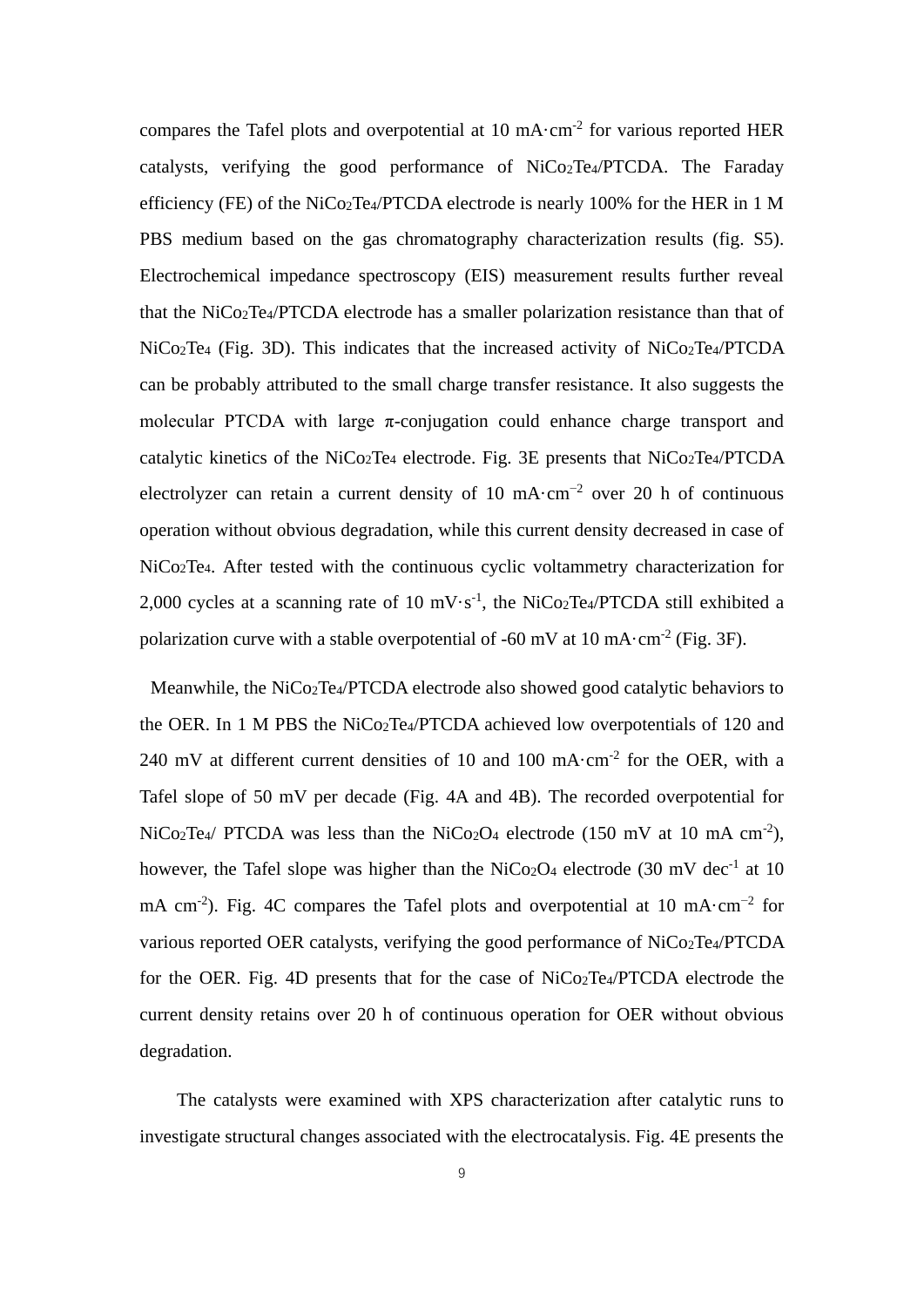compares the Tafel plots and overpotential at 10 mA $\cdot$ cm<sup>-2</sup> for various reported HER catalysts, verifying the good performance of NiCo2Te4/PTCDA. The Faraday efficiency (FE) of the NiCo2Te4/PTCDA electrode is nearly 100% for the HER in 1 M PBS medium based on the gas chromatography characterization results (fig. S5). Electrochemical impedance spectroscopy (EIS) measurement results further reveal that the NiCo2Te4/PTCDA electrode has a smaller polarization resistance than that of  $NiCo<sub>2</sub>Te<sub>4</sub>$  (Fig. 3D). This indicates that the increased activity of  $NiCo<sub>2</sub>Te<sub>4</sub>/PTCDA$ can be probably attributed to the small charge transfer resistance. It also suggests the molecular PTCDA with large  $\pi$ -conjugation could enhance charge transport and catalytic kinetics of the NiCo2Te<sup>4</sup> electrode. Fig. 3E presents that NiCo2Te4/PTCDA electrolyzer can retain a current density of 10 mA·cm−2 over 20 h of continuous operation without obvious degradation, while this current density decreased in case of NiCo2Te4. After tested with the continuous cyclic voltammetry characterization for 2,000 cycles at a scanning rate of 10 mV $\cdot$ s<sup>-1</sup>, the NiCo<sub>2</sub>Te<sub>4</sub>/PTCDA still exhibited a polarization curve with a stable overpotential of -60 mV at 10 mA $\cdot$ cm<sup>-2</sup> (Fig. 3F).

Meanwhile, the NiCo<sub>2</sub>Te<sub>4</sub>/PTCDA electrode also showed good catalytic behaviors to the OER. In 1 M PBS the NiCo2Te4/PTCDA achieved low overpotentials of 120 and 240 mV at different current densities of 10 and 100 mA $\cdot$ cm<sup>-2</sup> for the OER, with a Tafel slope of 50 mV per decade (Fig. 4A and 4B). The recorded overpotential for  $NiCo<sub>2</sub>Te<sub>4</sub>/$  PTCDA was less than the  $NiCo<sub>2</sub>O<sub>4</sub>$  electrode (150 mV at 10 mA cm<sup>-2</sup>), however, the Tafel slope was higher than the NiCo<sub>2</sub>O<sub>4</sub> electrode (30 mV dec<sup>-1</sup> at 10 mA cm<sup>-2</sup>). Fig. 4C compares the Tafel plots and overpotential at 10 mA·cm<sup>-2</sup> for various reported OER catalysts, verifying the good performance of NiCo<sub>2</sub>Te<sub>4</sub>/PTCDA for the OER. Fig. 4D presents that for the case of NiCo2Te4/PTCDA electrode the current density retains over 20 h of continuous operation for OER without obvious degradation.

The catalysts were examined with XPS characterization after catalytic runs to investigate structural changes associated with the electrocatalysis. Fig. 4E presents the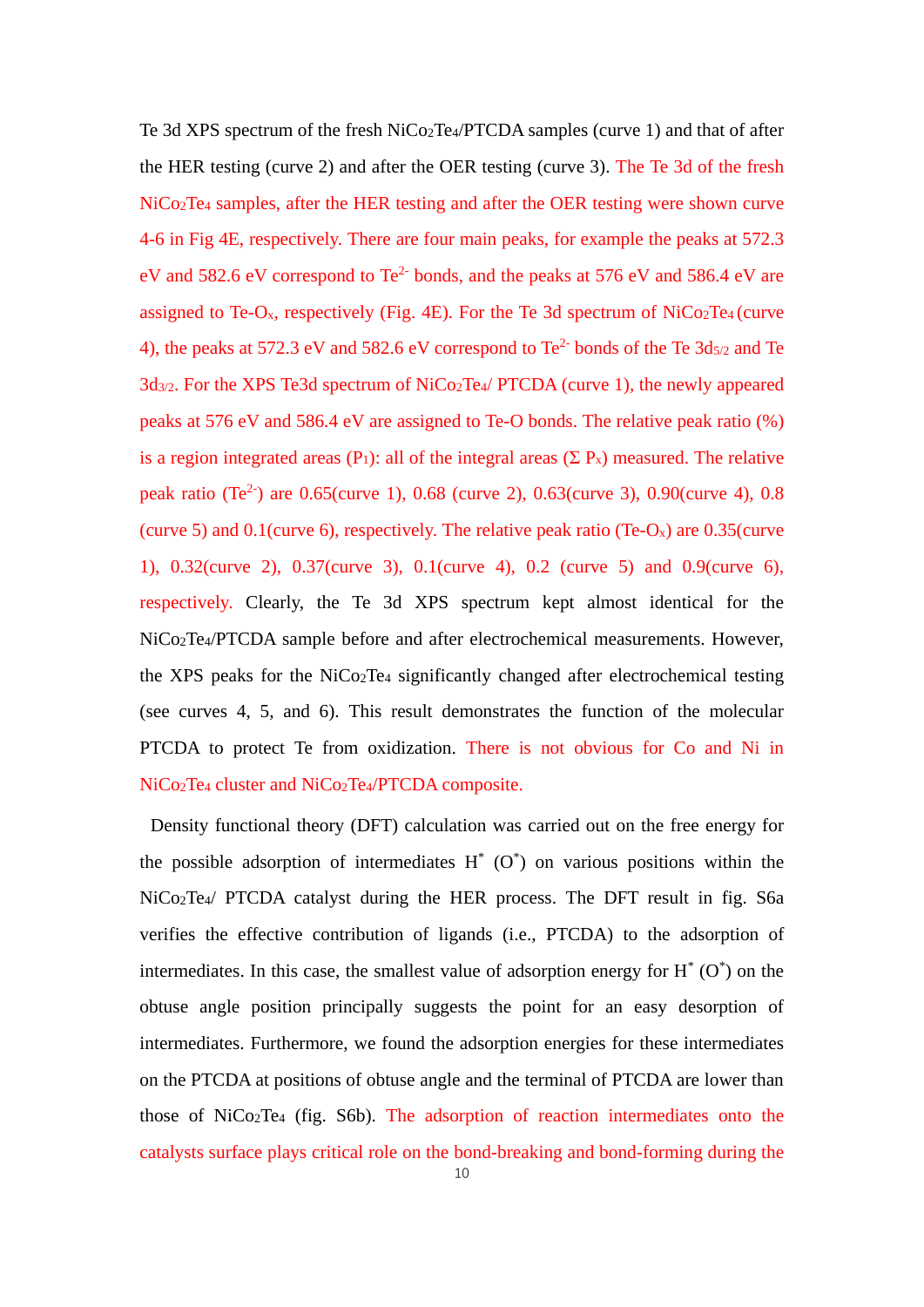Te 3d XPS spectrum of the fresh NiCo2Te4/PTCDA samples (curve 1) and that of after the HER testing (curve 2) and after the OER testing (curve 3). The Te 3d of the fresh NiCo2Te<sup>4</sup> samples, after the HER testing and after the OER testing were shown curve 4-6 in Fig 4E, respectively. There are four main peaks, for example the peaks at 572.3 eV and 582.6 eV correspond to  $Te^{2}$  bonds, and the peaks at 576 eV and 586.4 eV are assigned to Te-O<sub>x</sub>, respectively (Fig. 4E). For the Te 3d spectrum of  $NiCo<sub>2</sub>Te<sub>4</sub>$  (curve 4), the peaks at 572.3 eV and 582.6 eV correspond to  $Te^{2}$  bonds of the Te  $3d_{5/2}$  and Te 3d3/2. For the XPS Te3d spectrum of NiCo2Te4/ PTCDA (curve 1), the newly appeared peaks at 576 eV and 586.4 eV are assigned to Te-O bonds. The relative peak ratio (%) is a region integrated areas (P<sub>1</sub>): all of the integral areas ( $\Sigma$  P<sub>x</sub>) measured. The relative peak ratio (Te<sup>2-</sup>) are 0.65(curve 1), 0.68 (curve 2), 0.63(curve 3), 0.90(curve 4), 0.8 (curve 5) and  $0.1$ (curve 6), respectively. The relative peak ratio (Te-O<sub>x</sub>) are  $0.35$ (curve 1), 0.32(curve 2), 0.37(curve 3), 0.1(curve 4), 0.2 (curve 5) and 0.9(curve 6), respectively. Clearly, the Te 3d XPS spectrum kept almost identical for the NiCo2Te4/PTCDA sample before and after electrochemical measurements. However, the XPS peaks for the NiCo2Te<sup>4</sup> significantly changed after electrochemical testing (see curves 4, 5, and 6). This result demonstrates the function of the molecular PTCDA to protect Te from oxidization. There is not obvious for Co and Ni in NiCo2Te<sup>4</sup> cluster and NiCo2Te4/PTCDA composite.

Density functional theory (DFT) calculation was carried out on the free energy for the possible adsorption of intermediates  $H^*$  (O<sup>\*</sup>) on various positions within the NiCo2Te4/ PTCDA catalyst during the HER process. The DFT result in fig. S6a verifies the effective contribution of ligands (i.e., PTCDA) to the adsorption of intermediates. In this case, the smallest value of adsorption energy for  $H^*(O^*)$  on the obtuse angle position principally suggests the point for an easy desorption of intermediates. Furthermore, we found the adsorption energies for these intermediates on the PTCDA at positions of obtuse angle and the terminal of PTCDA are lower than those of NiCo2Te<sup>4</sup> (fig. S6b). The adsorption of reaction intermediates onto the catalysts surface plays critical role on the bond-breaking and bond-forming during the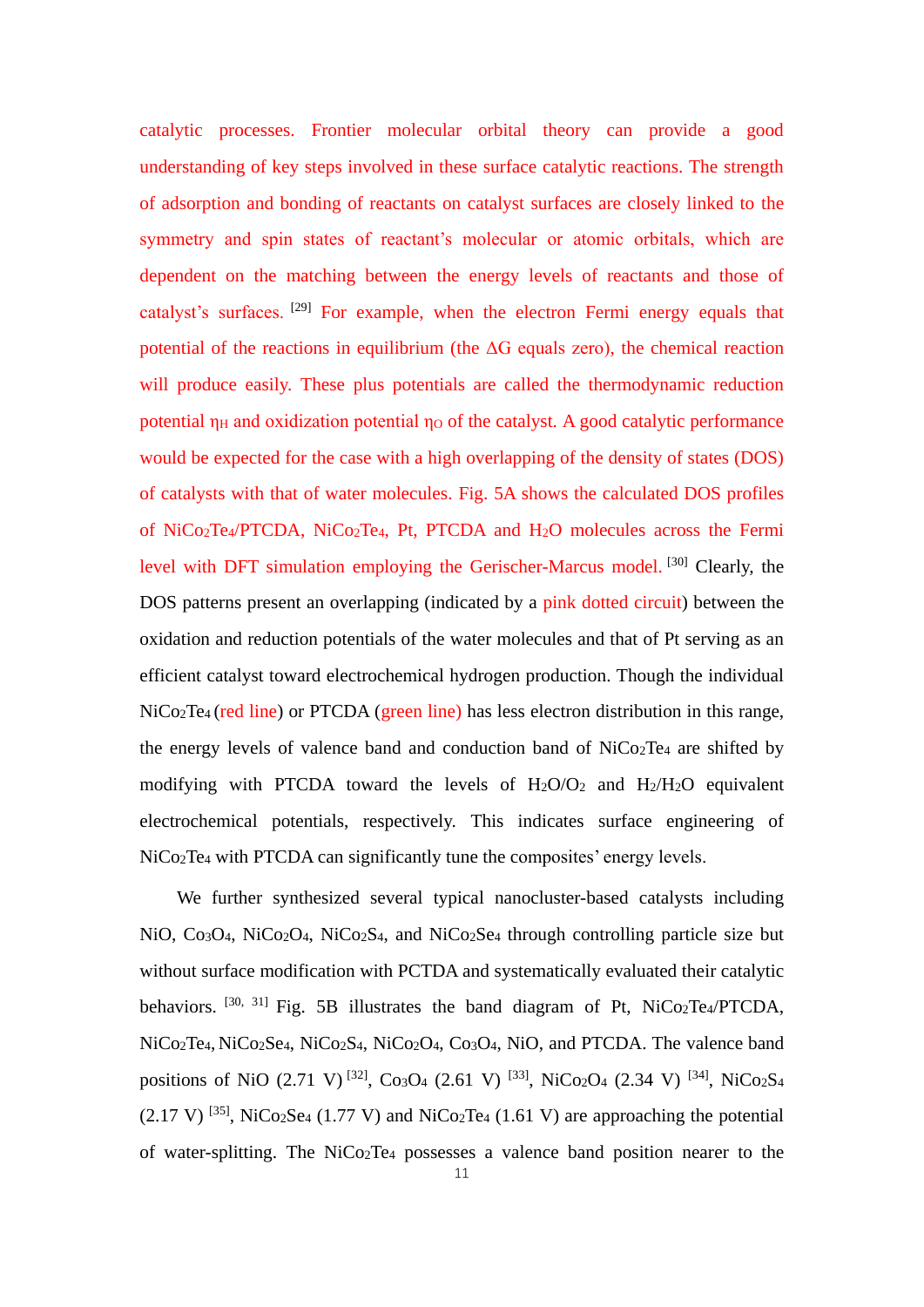catalytic processes. Frontier molecular orbital theory can provide a good understanding of key steps involved in these surface catalytic reactions. The strength of adsorption and bonding of reactants on catalyst surfaces are closely linked to the symmetry and spin states of reactant's molecular or atomic orbitals, which are dependent on the matching between the energy levels of reactants and those of catalyst's surfaces. [29] For example, when the electron Fermi energy equals that potential of the reactions in equilibrium (the  $\Delta G$  equals zero), the chemical reaction will produce easily. These plus potentials are called the thermodynamic reduction potential  $\eta$ H and oxidization potential  $\eta$ o of the catalyst. A good catalytic performance would be expected for the case with a high overlapping of the density of states (DOS) of catalysts with that of water molecules. Fig. 5A shows the calculated DOS profiles of NiCo2Te4/PTCDA, NiCo2Te4, Pt, PTCDA and H2O molecules across the Fermi level with DFT simulation employing the Gerischer-Marcus model. [30] Clearly, the DOS patterns present an overlapping (indicated by a pink dotted circuit) between the oxidation and reduction potentials of the water molecules and that of Pt serving as an efficient catalyst toward electrochemical hydrogen production. Though the individual NiCo2Te4 (red line) or PTCDA (green line) has less electron distribution in this range, the energy levels of valence band and conduction band of NiCo2Te<sup>4</sup> are shifted by modifying with PTCDA toward the levels of  $H_2O/O_2$  and  $H_2/H_2O$  equivalent electrochemical potentials, respectively. This indicates surface engineering of NiCo<sub>2</sub>Te<sub>4</sub> with PTCDA can significantly tune the composites' energy levels.

We further synthesized several typical nanocluster-based catalysts including NiO, Co<sub>3</sub>O<sub>4</sub>, NiCo<sub>2</sub>O<sub>4</sub>, NiCo<sub>2</sub>S<sub>4</sub>, and NiCo<sub>2</sub>S<sub>e4</sub> through controlling particle size but without surface modification with PCTDA and systematically evaluated their catalytic behaviors. <sup>[30, 31]</sup> Fig. 5B illustrates the band diagram of Pt, NiCo<sub>2</sub>Te<sub>4</sub>/PTCDA, NiCo2Te4, NiCo2Se4, NiCo2S4, NiCo2O4, Co3O4, NiO, and PTCDA. The valence band positions of NiO  $(2.71 \text{ V})^{[32]}$ , Co<sub>3</sub>O<sub>4</sub>  $(2.61 \text{ V})^{[33]}$ , NiCo<sub>2</sub>O<sub>4</sub>  $(2.34 \text{ V})^{[34]}$ , NiCo<sub>2</sub>S<sub>4</sub>  $(2.17 \text{ V})$  <sup>[35]</sup>, NiCo<sub>2</sub>Se<sub>4</sub> (1.77 V) and NiCo<sub>2</sub>Te<sub>4</sub> (1.61 V) are approaching the potential of water-splitting. The NiCo2Te<sup>4</sup> possesses a valence band position nearer to the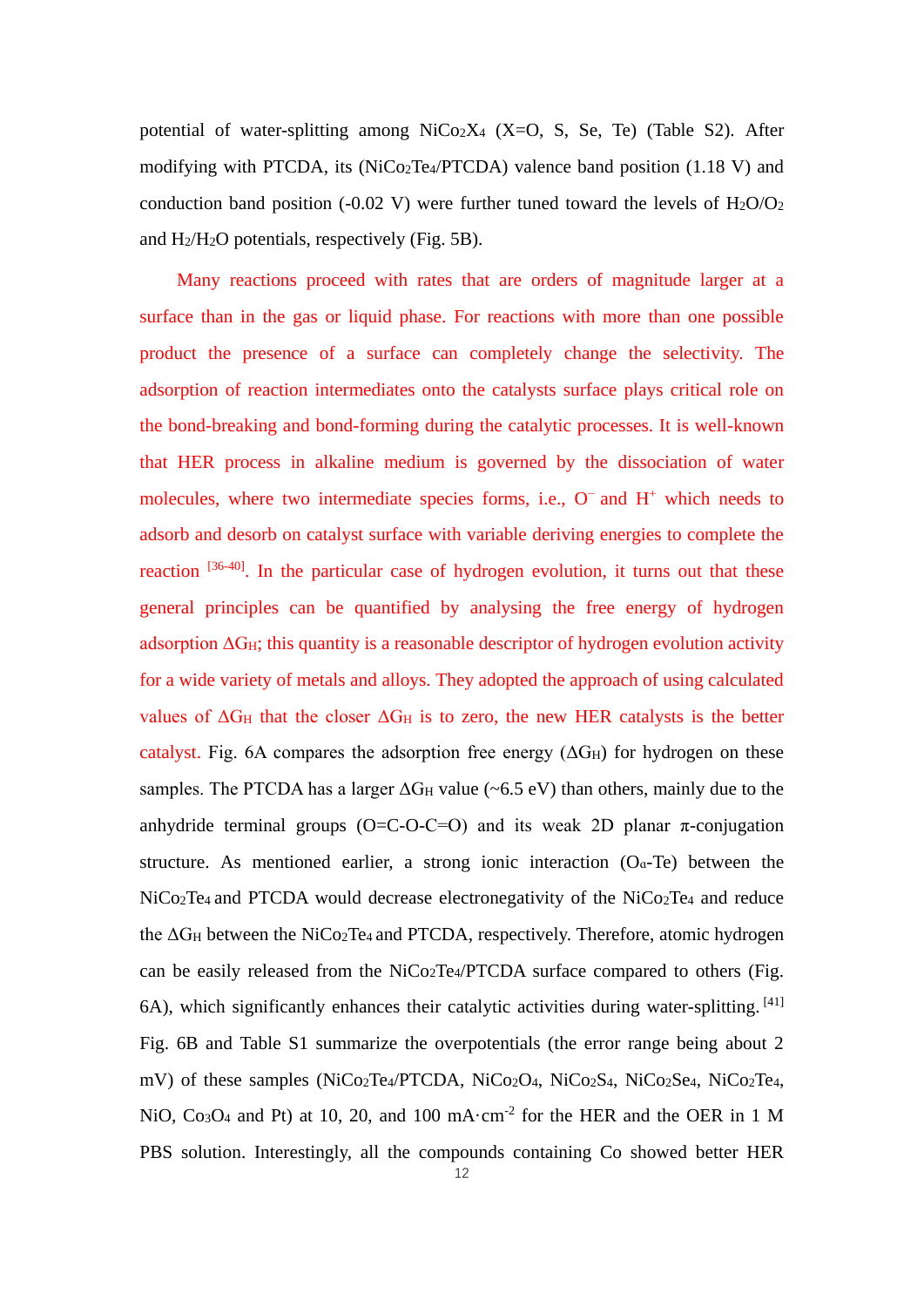potential of water-splitting among  $NiCo<sub>2</sub>X<sub>4</sub>$  (X=O, S, Se, Te) (Table S2). After modifying with PTCDA, its ( $NiCo<sub>2</sub>Te<sub>4</sub>/PTCDA$ ) valence band position (1.18 V) and conduction band position (-0.02 V) were further tuned toward the levels of  $H_2O/O_2$ and H2/H2O potentials, respectively (Fig. 5B).

Many reactions proceed with rates that are orders of magnitude larger at a surface than in the gas or liquid phase. For reactions with more than one possible product the presence of a surface can completely change the selectivity. The adsorption of reaction intermediates onto the catalysts surface plays critical role on the bond-breaking and bond-forming during the catalytic processes. It is well-known that HER process in alkaline medium is governed by the dissociation of water molecules, where two intermediate species forms, i.e., O<sup>−</sup> and H<sup>+</sup> which needs to adsorb and desorb on catalyst surface with variable deriving energies to complete the reaction [36-40]. In the particular case of hydrogen evolution, it turns out that these general principles can be quantified by analysing the free energy of hydrogen adsorption  $\Delta G_H$ ; this quantity is a reasonable descriptor of hydrogen evolution activity for a wide variety of metals and alloys. They adopted the approach of using calculated values of  $\Delta G_H$  that the closer  $\Delta G_H$  is to zero, the new HER catalysts is the better catalyst. Fig. 6A compares the adsorption free energy  $(\Delta G_H)$  for hydrogen on these samples. The PTCDA has a larger  $\Delta G_H$  value (~6.5 eV) than others, mainly due to the anhydride terminal groups ( $O=C-O-C=O$ ) and its weak 2D planar  $\pi$ -conjugation structure. As mentioned earlier, a strong ionic interaction  $(O_{\alpha}Te)$  between the NiCo2Te4 and PTCDA would decrease electronegativity of the NiCo2Te<sup>4</sup> and reduce the ΔG<sub>H</sub> between the NiCo<sub>2</sub>Te<sub>4</sub> and PTCDA, respectively. Therefore, atomic hydrogen can be easily released from the NiCo2Te4/PTCDA surface compared to others (Fig. 6A), which significantly enhances their catalytic activities during water-splitting. [41] Fig. 6B and Table S1 summarize the overpotentials (the error range being about 2 mV) of these samples (NiCo<sub>2</sub>Te<sub>4</sub>/PTCDA, NiCo<sub>2</sub>O<sub>4</sub>, NiCo<sub>2</sub>S<sub>4</sub>, NiCo<sub>2</sub>Se<sub>4</sub>, NiCo<sub>2</sub>Te<sub>4</sub>, NiO,  $Co<sub>3</sub>O<sub>4</sub>$  and Pt) at 10, 20, and 100 mA·cm<sup>-2</sup> for the HER and the OER in 1 M PBS solution. Interestingly, all the compounds containing Co showed better HER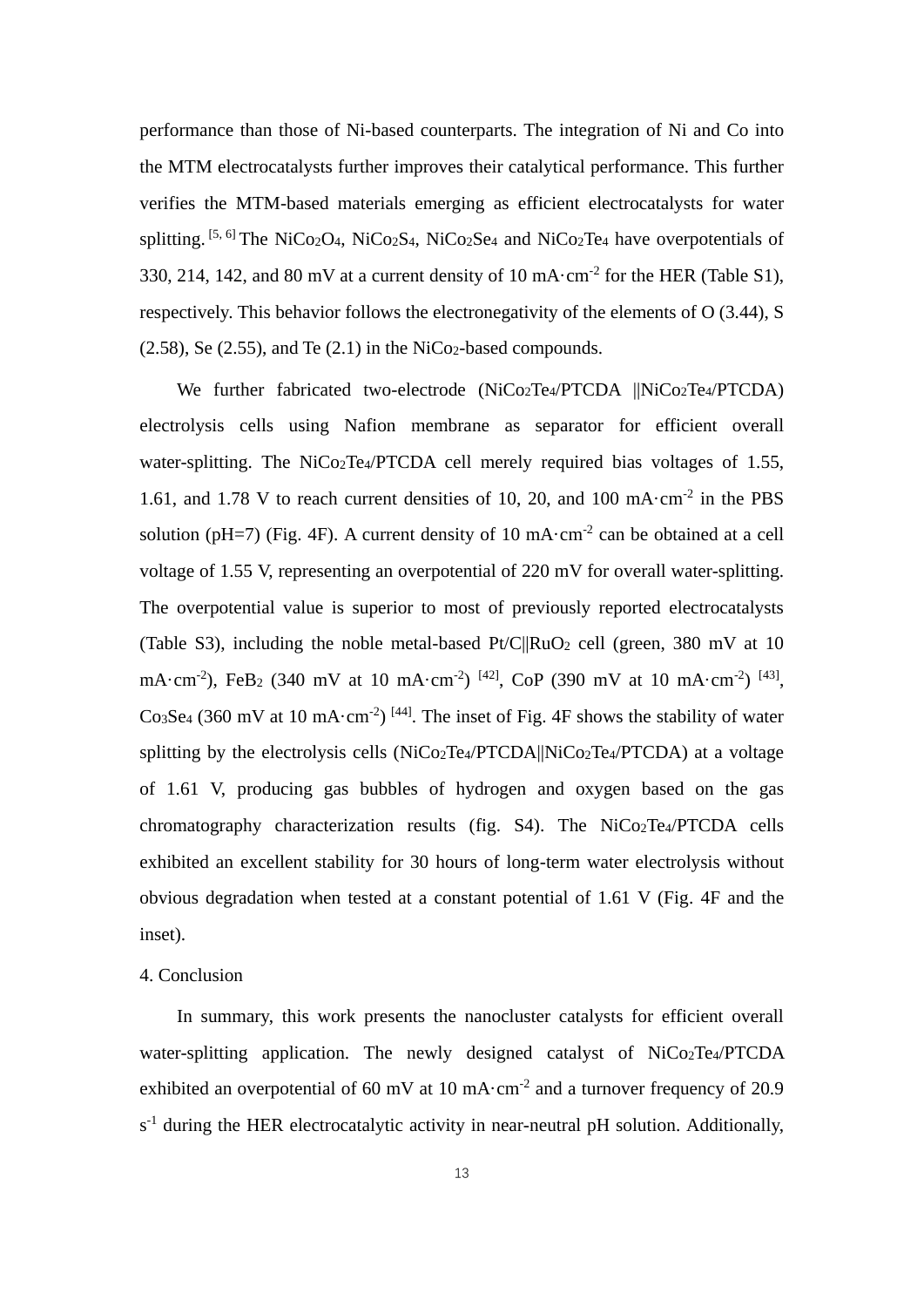performance than those of Ni-based counterparts. The integration of Ni and Co into the MTM electrocatalysts further improves their catalytical performance. This further verifies the MTM-based materials emerging as efficient electrocatalysts for water splitting.  $[5, 6]$  The NiCo<sub>2</sub>O<sub>4</sub>, NiCo<sub>2</sub>S<sub>4</sub>, NiCo<sub>2</sub>S<sub>e4</sub> and NiCo<sub>2</sub>T<sub>e4</sub> have overpotentials of 330, 214, 142, and 80 mV at a current density of 10 mA $\cdot$ cm<sup>-2</sup> for the HER (Table S1), respectively. This behavior follows the electronegativity of the elements of O (3.44), S  $(2.58)$ , Se  $(2.55)$ , and Te  $(2.1)$  in the NiCo<sub>2</sub>-based compounds.

We further fabricated two-electrode (NiCo<sub>2</sub>Te<sub>4</sub>/PTCDA ||NiCo<sub>2</sub>Te<sub>4</sub>/PTCDA) electrolysis cells using Nafion membrane as separator for efficient overall water-splitting. The NiCo<sub>2</sub>Te<sub>4</sub>/PTCDA cell merely required bias voltages of 1.55, 1.61, and 1.78 V to reach current densities of 10, 20, and 100 mA $\cdot$ cm<sup>-2</sup> in the PBS solution (pH=7) (Fig. 4F). A current density of 10 mA $\cdot$ cm<sup>-2</sup> can be obtained at a cell voltage of 1.55 V, representing an overpotential of 220 mV for overall water-splitting. The overpotential value is superior to most of previously reported electrocatalysts (Table S3), including the noble metal-based  $Pt/C||RuO<sub>2</sub>$  cell (green, 380 mV at 10) mA·cm<sup>-2</sup>), FeB<sub>2</sub> (340 mV at 10 mA·cm<sup>-2</sup>)<sup>[42]</sup>, CoP (390 mV at 10 mA·cm<sup>-2</sup>)<sup>[43]</sup>, Co<sub>3</sub>Se<sub>4</sub> (360 mV at 10 mA·cm<sup>-2</sup>)<sup>[44]</sup>. The inset of Fig. 4F shows the stability of water splitting by the electrolysis cells (NiCo2Te4/PTCDA||NiCo2Te4/PTCDA) at a voltage of 1.61 V, producing gas bubbles of hydrogen and oxygen based on the gas chromatography characterization results (fig. S4). The NiCo2Te4/PTCDA cells exhibited an excellent stability for 30 hours of long-term water electrolysis without obvious degradation when tested at a constant potential of 1.61 V (Fig. 4F and the inset).

# 4. Conclusion

In summary, this work presents the nanocluster catalysts for efficient overall water-splitting application. The newly designed catalyst of NiCo<sub>2</sub>Te<sub>4</sub>/PTCDA exhibited an overpotential of 60 mV at 10 mA $\cdot$ cm<sup>-2</sup> and a turnover frequency of 20.9  $s<sup>-1</sup>$  during the HER electrocatalytic activity in near-neutral pH solution. Additionally,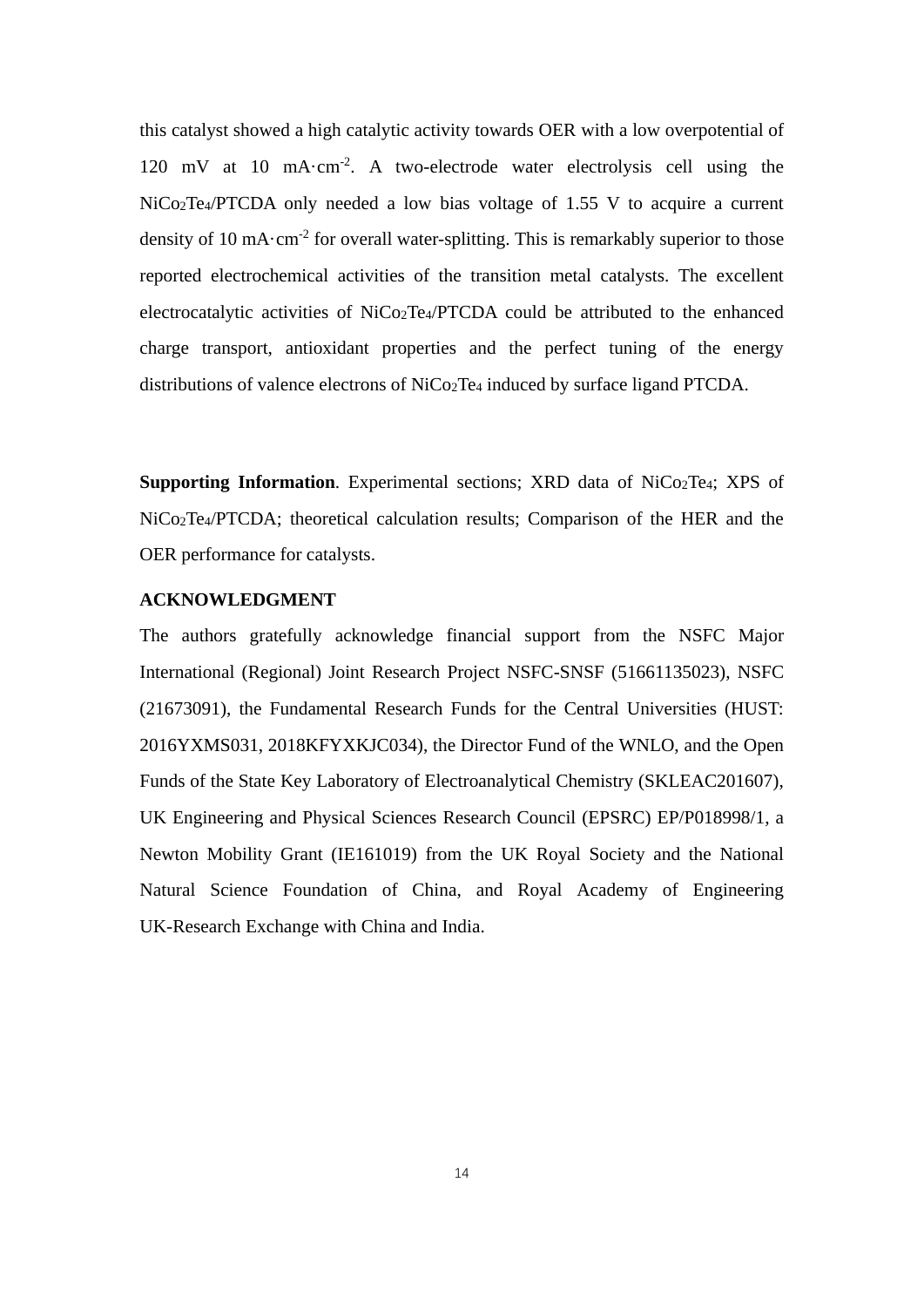this catalyst showed a high catalytic activity towards OER with a low overpotential of 120 mV at 10 mA·cm<sup>-2</sup>. A two-electrode water electrolysis cell using the NiCo2Te4/PTCDA only needed a low bias voltage of 1.55 V to acquire a current density of 10 mA $\cdot$ cm<sup>-2</sup> for overall water-splitting. This is remarkably superior to those reported electrochemical activities of the transition metal catalysts. The excellent electrocatalytic activities of NiCo2Te4/PTCDA could be attributed to the enhanced charge transport, antioxidant properties and the perfect tuning of the energy distributions of valence electrons of NiCo2Te<sup>4</sup> induced by surface ligand PTCDA.

**Supporting Information**. Experimental sections; XRD data of NiCo<sub>2</sub>Te<sub>4</sub>; XPS of NiCo2Te4/PTCDA; theoretical calculation results; Comparison of the HER and the OER performance for catalysts.

# **ACKNOWLEDGMENT**

The authors gratefully acknowledge financial support from the NSFC Major International (Regional) Joint Research Project NSFC-SNSF (51661135023), NSFC (21673091), the Fundamental Research Funds for the Central Universities (HUST: 2016YXMS031, 2018KFYXKJC034), the Director Fund of the WNLO, and the Open Funds of the State Key Laboratory of Electroanalytical Chemistry (SKLEAC201607), UK Engineering and Physical Sciences Research Council (EPSRC) EP/P018998/1, a Newton Mobility Grant (IE161019) from the UK Royal Society and the National Natural Science Foundation of China, and Royal Academy of Engineering UK-Research Exchange with China and India.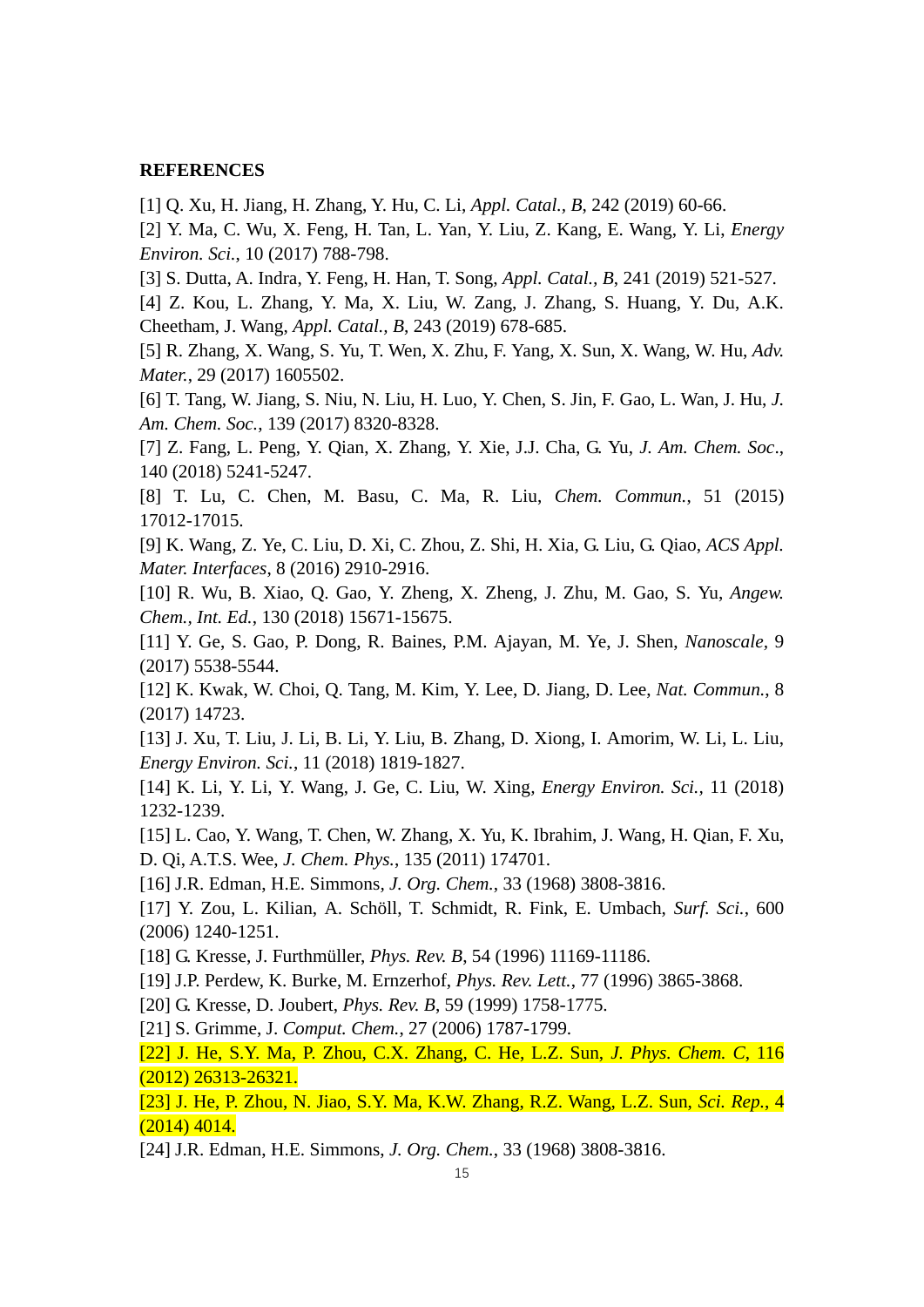#### **REFERENCES**

[1] Q. Xu, H. Jiang, H. Zhang, Y. Hu, C. Li, *Appl. Catal., B*, 242 (2019) 60-66.

[2] Y. Ma, C. Wu, X. Feng, H. Tan, L. Yan, Y. Liu, Z. Kang, E. Wang, Y. Li, *Energy Environ. Sci.*, 10 (2017) 788-798.

[3] S. Dutta, A. Indra, Y. Feng, H. Han, T. Song, *Appl. Catal., B*, 241 (2019) 521-527.

[4] Z. Kou, L. Zhang, Y. Ma, X. Liu, W. Zang, J. Zhang, S. Huang, Y. Du, A.K. Cheetham, J. Wang, *Appl. Catal., B*, 243 (2019) 678-685.

[5] R. Zhang, X. Wang, S. Yu, T. Wen, X. Zhu, F. Yang, X. Sun, X. Wang, W. Hu, *Adv. Mater.*, 29 (2017) 1605502.

[6] T. Tang, W. Jiang, S. Niu, N. Liu, H. Luo, Y. Chen, S. Jin, F. Gao, L. Wan, J. Hu, *J. Am. Chem. Soc.*, 139 (2017) 8320-8328.

[7] Z. Fang, L. Peng, Y. Qian, X. Zhang, Y. Xie, J.J. Cha, G. Yu, *J. Am. Chem. Soc*., 140 (2018) 5241-5247.

[8] T. Lu, C. Chen, M. Basu, C. Ma, R. Liu, *Chem. Commun.*, 51 (2015) 17012-17015.

[9] K. Wang, Z. Ye, C. Liu, D. Xi, C. Zhou, Z. Shi, H. Xia, G. Liu, G. Qiao, *ACS Appl. Mater. Interfaces*, 8 (2016) 2910-2916.

[10] R. Wu, B. Xiao, Q. Gao, Y. Zheng, X. Zheng, J. Zhu, M. Gao, S. Yu, *Angew. Chem., Int. Ed.*, 130 (2018) 15671-15675.

[11] Y. Ge, S. Gao, P. Dong, R. Baines, P.M. Ajayan, M. Ye, J. Shen, *Nanoscale,* 9 (2017) 5538-5544.

[12] K. Kwak, W. Choi, Q. Tang, M. Kim, Y. Lee, D. Jiang, D. Lee, *Nat. Commun.*, 8 (2017) 14723.

[13] J. Xu, T. Liu, J. Li, B. Li, Y. Liu, B. Zhang, D. Xiong, I. Amorim, W. Li, L. Liu, *Energy Environ. Sci.*, 11 (2018) 1819-1827.

[14] K. Li, Y. Li, Y. Wang, J. Ge, C. Liu, W. Xing*, Energy Environ. Sci.,* 11 (2018) 1232-1239.

[15] L. Cao, Y. Wang, T. Chen, W. Zhang, X. Yu, K. Ibrahim, J. Wang, H. Qian, F. Xu, D. Qi, A.T.S. Wee, *J. Chem. Phys.*, 135 (2011) 174701.

[16] J.R. Edman, H.E. Simmons*, J. Org. Chem.*, 33 (1968) 3808-3816.

[17] Y. Zou, L. Kilian, A. Schöll, T. Schmidt, R. Fink, E. Umbach, *Surf. Sci.*, 600 (2006) 1240-1251.

[18] G. Kresse, J. Furthmüller, *Phys. Rev. B*, 54 (1996) 11169-11186.

[19] J.P. Perdew, K. Burke, M. Ernzerhof, *Phys. Rev. Lett.*, 77 (1996) 3865-3868.

[20] G. Kresse, D. Joubert, *Phys. Rev. B*, 59 (1999) 1758-1775.

[21] S. Grimme, J. *Comput. Chem.*, 27 (2006) 1787-1799.

[22] J. He, S.Y. Ma, P. Zhou, C.X. Zhang, C. He, L.Z. Sun, *J. Phys. Chem. C*, 116 (2012) 26313-26321.

[23] J. He, P. Zhou, N. Jiao, S.Y. Ma, K.W. Zhang, R.Z. Wang, L.Z. Sun, *Sci. Rep.*, 4 (2014) 4014.

[24] J.R. Edman, H.E. Simmons, *J. Org. Chem.*, 33 (1968) 3808-3816.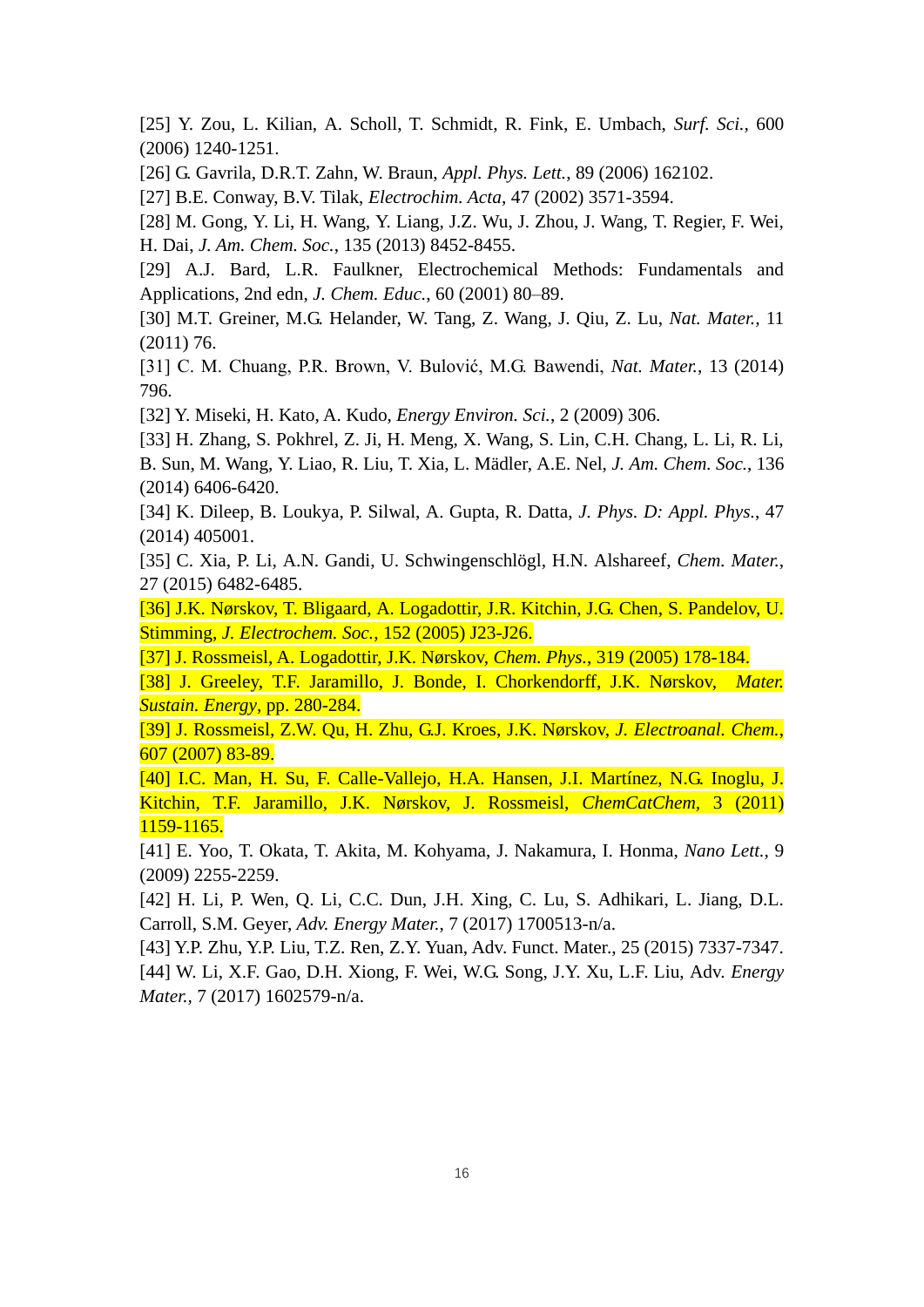[25] Y. Zou, L. Kilian, A. Scholl, T. Schmidt, R. Fink, E. Umbach, *Surf. Sci.,* 600 (2006) 1240-1251.

[26] G. Gavrila, D.R.T. Zahn, W. Braun, *Appl. Phys. Lett.*, 89 (2006) 162102.

[27] B.E. Conway, B.V. Tilak, *Electrochim. Acta*, 47 (2002) 3571-3594.

[28] M. Gong, Y. Li, H. Wang, Y. Liang, J.Z. Wu, J. Zhou, J. Wang, T. Regier, F. Wei, H. Dai, *J. Am. Chem. Soc.*, 135 (2013) 8452-8455.

[29] A.J. Bard, L.R. Faulkner, Electrochemical Methods: Fundamentals and Applications, 2nd edn, *J. Chem. Educ.*, 60 (2001) 80–89.

[30] M.T. Greiner, M.G. Helander, W. Tang, Z. Wang, J. Qiu, Z. Lu, *Nat. Mater.,* 11 (2011) 76.

[31] C. M. Chuang, P.R. Brown, V. Bulović, M.G. Bawendi, *Nat. Mater.*, 13 (2014) 796.

[32] Y. Miseki, H. Kato, A. Kudo, *Energy Environ. Sci.*, 2 (2009) 306.

[33] H. Zhang, S. Pokhrel, Z. Ji, H. Meng, X. Wang, S. Lin, C.H. Chang, L. Li, R. Li, B. Sun, M. Wang, Y. Liao, R. Liu, T. Xia, L. Mädler, A.E. Nel, *J. Am. Chem. Soc.*, 136 (2014) 6406-6420.

[34] K. Dileep, B. Loukya, P. Silwal, A. Gupta, R. Datta, *J. Phys. D: Appl. Phys.*, 47 (2014) 405001.

[35] C. Xia, P. Li, A.N. Gandi, U. Schwingenschlögl, H.N. Alshareef, *Chem. Mater.*, 27 (2015) 6482-6485.

[36] J.K. Nørskov, T. Bligaard, A. Logadottir, J.R. Kitchin, J.G. Chen, S. Pandelov, U. Stimming, *J. Electrochem. Soc.*, 152 (2005) J23-J26.

[37] J. Rossmeisl, A. Logadottir, J.K. Nørskov, *Chem. Phys.*, 319 (2005) 178-184.

[38] J. Greeley, T.F. Jaramillo, J. Bonde, I. Chorkendorff, J.K. Nørskov, *Mater. Sustain. Energy*, pp. 280-284.

[39] J. Rossmeisl, Z.W. Qu, H. Zhu, G.J. Kroes, J.K. Nørskov, *J. Electroanal. Chem.*, 607 (2007) 83-89.

[40] I.C. Man, H. Su, F. Calle-Vallejo, H.A. Hansen, J.I. Martínez, N.G. Inoglu, J. Kitchin, T.F. Jaramillo, J.K. Nørskov, J. Rossmeisl, *ChemCatChem,* 3 (2011) 1159-1165.

[41] E. Yoo, T. Okata, T. Akita, M. Kohyama, J. Nakamura, I. Honma, *Nano Lett.*, 9 (2009) 2255-2259.

[42] H. Li, P. Wen, Q. Li, C.C. Dun, J.H. Xing, C. Lu, S. Adhikari, L. Jiang, D.L. Carroll, S.M. Geyer, *Adv. Energy Mater.*, 7 (2017) 1700513-n/a.

[43] Y.P. Zhu, Y.P. Liu, T.Z. Ren, Z.Y. Yuan, Adv. Funct. Mater., 25 (2015) 7337-7347.

[44] W. Li, X.F. Gao, D.H. Xiong, F. Wei, W.G. Song, J.Y. Xu, L.F. Liu, Adv. *Energy Mater.,* 7 (2017) 1602579-n/a.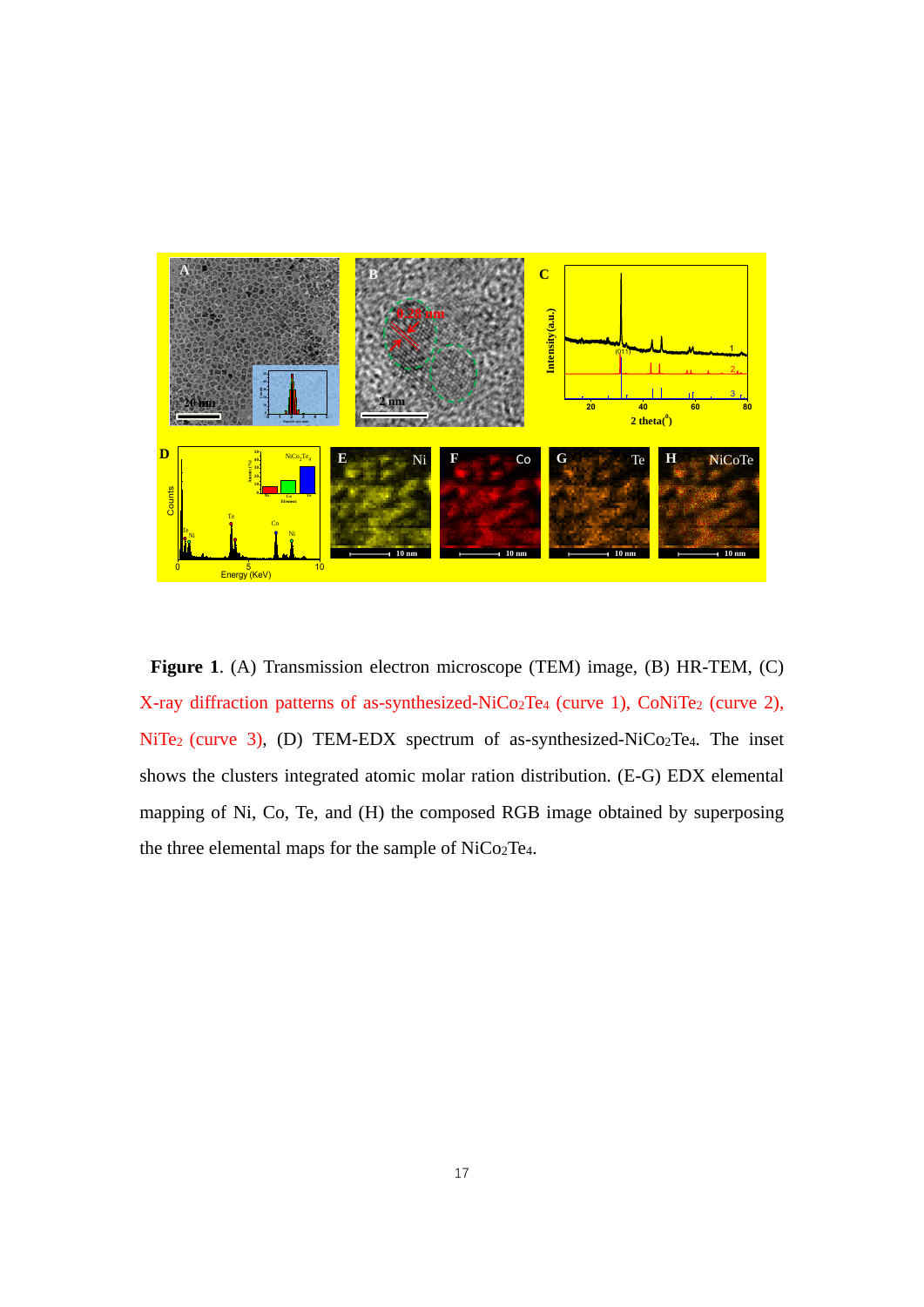

**Figure 1**. (A) Transmission electron microscope (TEM) image, (B) HR-TEM, (C) X-ray diffraction patterns of as-synthesized-NiCo<sub>2</sub>Te<sub>4</sub> (curve 1), CoNiTe<sub>2</sub> (curve 2), NiTe<sub>2</sub> (curve 3), (D) TEM-EDX spectrum of as-synthesized-NiCo<sub>2</sub>Te<sub>4</sub>. The inset shows the clusters integrated atomic molar ration distribution. (E-G) EDX elemental mapping of Ni, Co, Te, and (H) the composed RGB image obtained by superposing the three elemental maps for the sample of NiCo2Te4.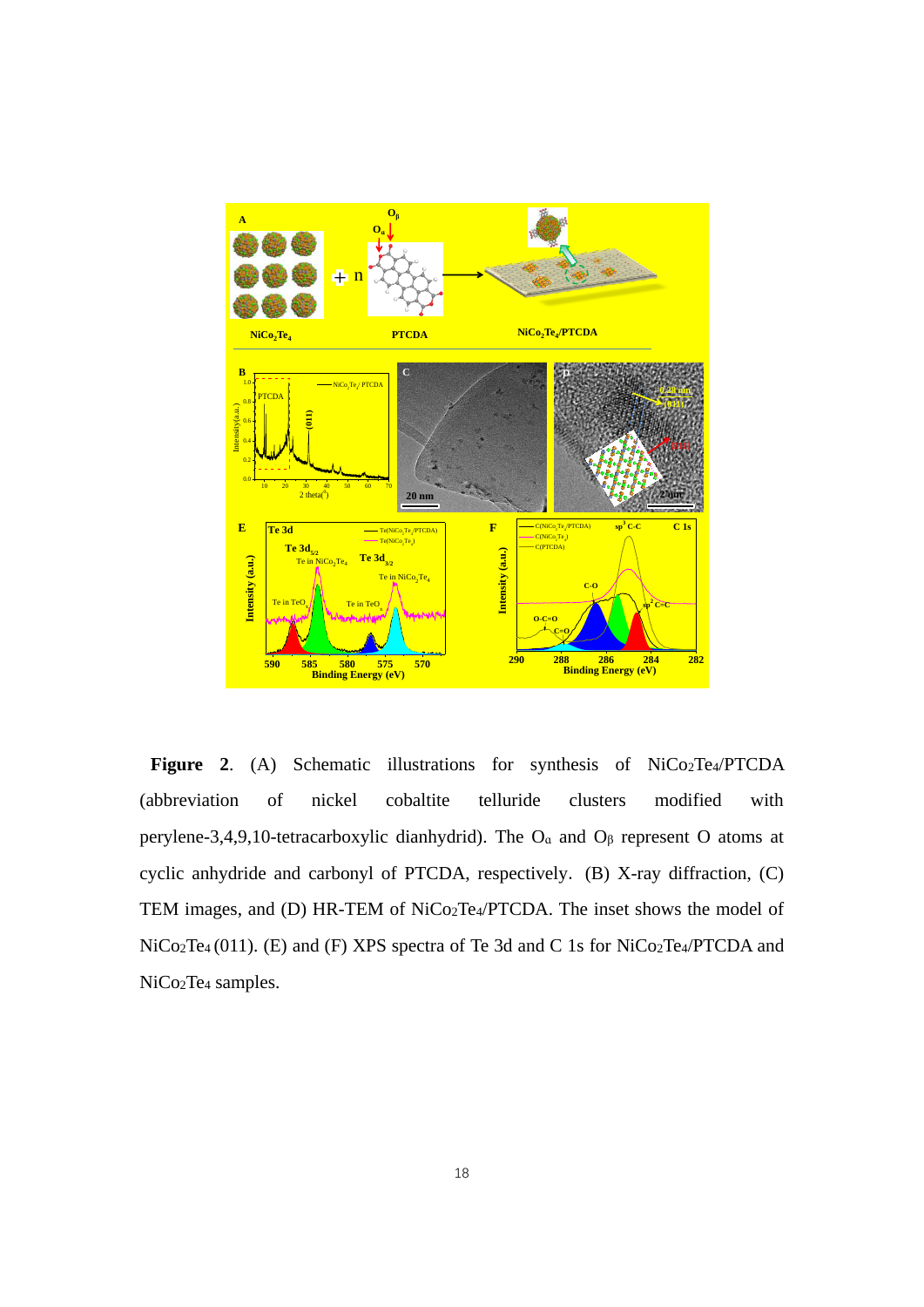

**Figure 2**. (A) Schematic illustrations for synthesis of NiCo2Te4/PTCDA (abbreviation of nickel cobaltite telluride clusters modified with perylene-3,4,9,10-tetracarboxylic dianhydrid). The  $O<sub>a</sub>$  and  $O<sub>\beta</sub>$  represent O atoms at cyclic anhydride and carbonyl of PTCDA, respectively. (B) X-ray diffraction, (C) TEM images, and (D) HR-TEM of NiCo2Te4/PTCDA. The inset shows the model of NiCo<sub>2</sub>Te<sub>4</sub> (011). (E) and (F) XPS spectra of Te 3d and C 1s for NiCo<sub>2</sub>Te<sub>4</sub>/PTCDA and NiCo2Te<sup>4</sup> samples.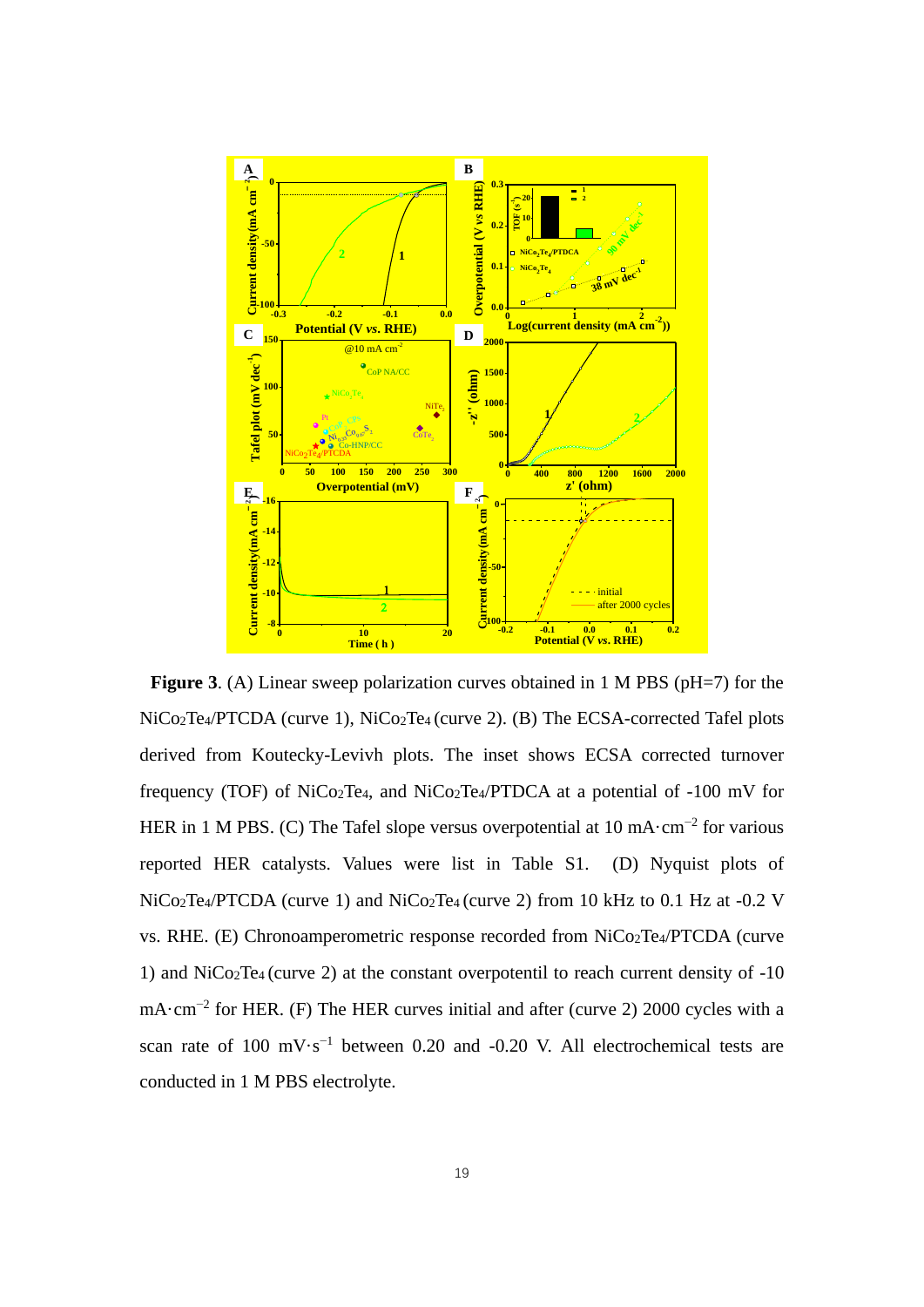

**Figure 3.** (A) Linear sweep polarization curves obtained in 1 M PBS (pH=7) for the NiCo<sub>2</sub>Te<sub>4</sub>/PTCDA (curve 1), NiCo<sub>2</sub>Te<sub>4</sub> (curve 2). (B) The ECSA-corrected Tafel plots derived from Koutecky-Levivh plots. The inset shows ECSA corrected turnover frequency (TOF) of  $NiCo<sub>2</sub>Te<sub>4</sub>$ , and  $NiCo<sub>2</sub>Te<sub>4</sub>/PTDCA$  at a potential of -100 mV for HER in 1 M PBS. (C) The Tafel slope versus overpotential at  $10 \text{ mA} \cdot \text{cm}^{-2}$  for various reported HER catalysts. Values were list in Table S1. (D) Nyquist plots of NiCo2Te4/PTCDA (curve 1) and NiCo2Te<sup>4</sup> (curve 2) from 10 kHz to 0.1 Hz at -0.2 V vs. RHE. (E) Chronoamperometric response recorded from NiCo2Te4/PTCDA (curve 1) and NiCo2Te<sup>4</sup> (curve 2) at the constant overpotentil to reach current density of -10 mA·cm−2 for HER. (F) The HER curves initial and after (curve 2) 2000 cycles with a scan rate of 100 mV⋅s<sup>-1</sup> between 0.20 and -0.20 V. All electrochemical tests are conducted in 1 M PBS electrolyte.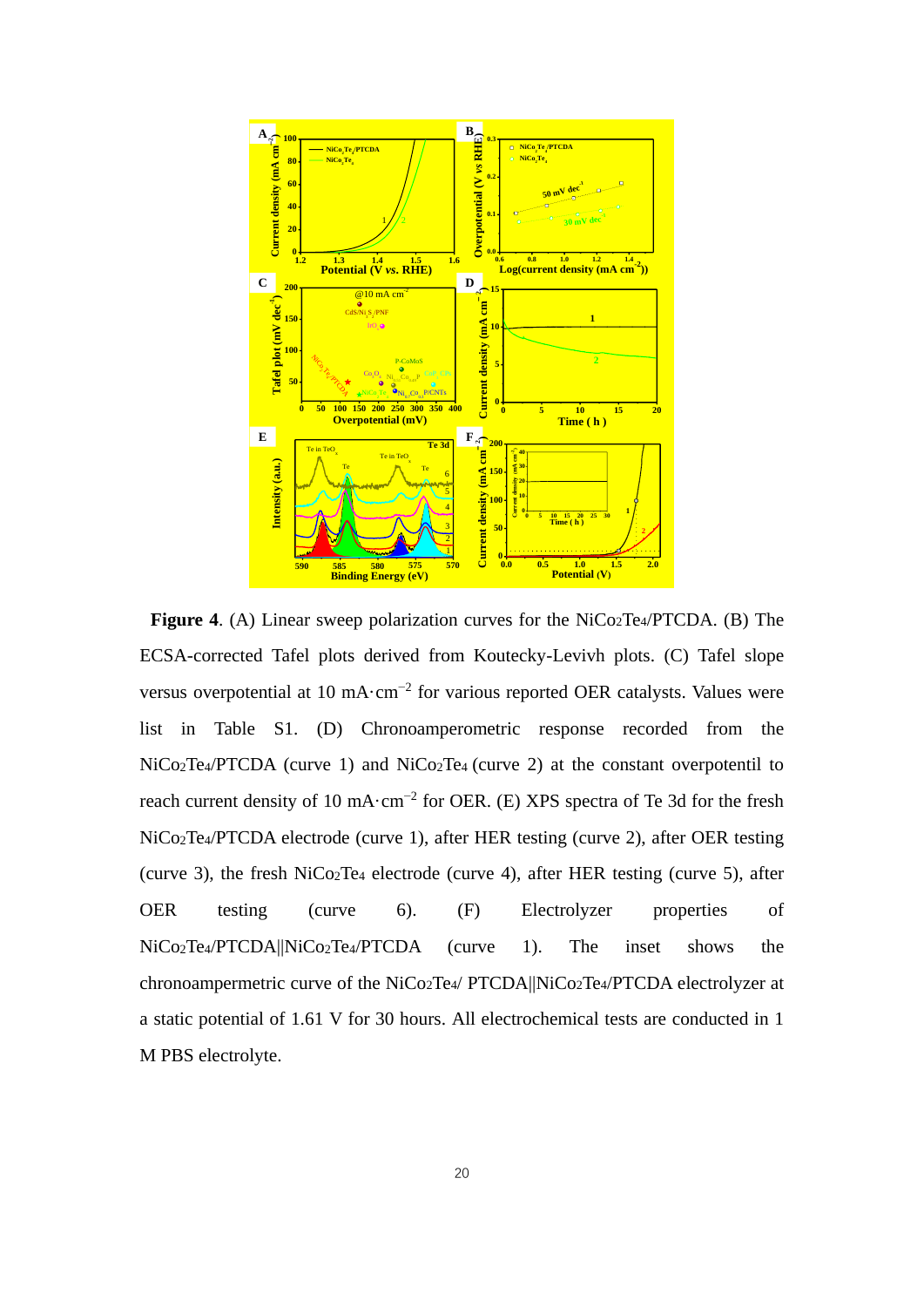

**Figure 4.** (A) Linear sweep polarization curves for the NiCo<sub>2</sub>Te<sub>4</sub>/PTCDA. (B) The ECSA-corrected Tafel plots derived from Koutecky-Levivh plots. (C) Tafel slope versus overpotential at 10 mA⋅cm<sup>-2</sup> for various reported OER catalysts. Values were list in Table S1. (D) Chronoamperometric response recorded from the NiCo2Te4/PTCDA (curve 1) and NiCo2Te<sup>4</sup> (curve 2) at the constant overpotentil to reach current density of 10 mA·cm<sup>-2</sup> for OER. (E) XPS spectra of Te 3d for the fresh NiCo2Te4/PTCDA electrode (curve 1), after HER testing (curve 2), after OER testing (curve 3), the fresh NiCo2Te<sup>4</sup> electrode (curve 4), after HER testing (curve 5), after OER testing (curve 6). (F) Electrolyzer properties of NiCo<sub>2</sub>Te<sub>4</sub>/PTCDA||NiCo<sub>2</sub>Te<sub>4</sub>/PTCDA (curve 1). The inset shows the chronoampermetric curve of the NiCo2Te4/ PTCDA||NiCo2Te4/PTCDA electrolyzer at a static potential of 1.61 V for 30 hours. All electrochemical tests are conducted in 1 M PBS electrolyte.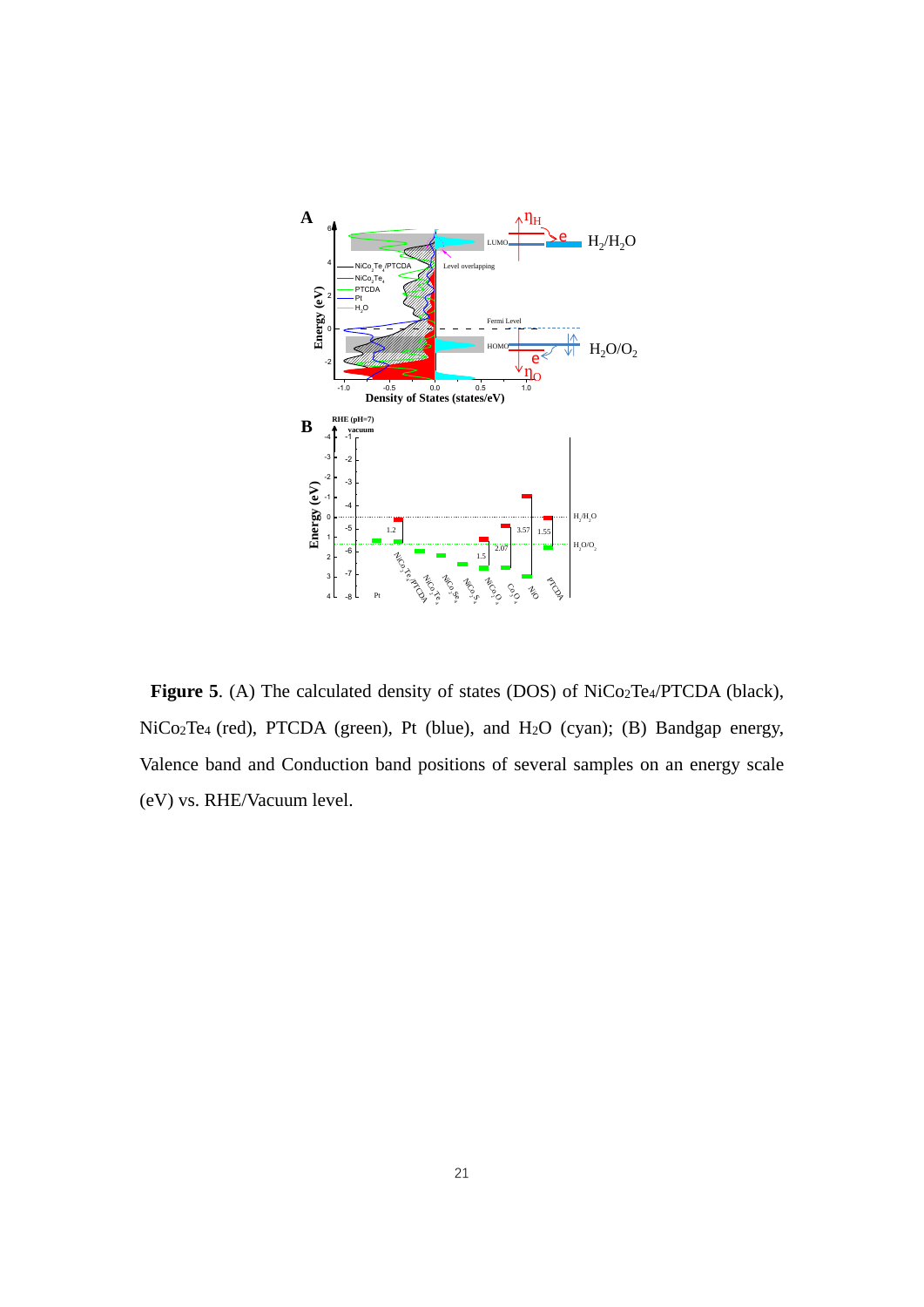

Figure 5. (A) The calculated density of states (DOS) of NiCo<sub>2</sub>Te<sub>4</sub>/PTCDA (black), NiCo2Te4 (red), PTCDA (green), Pt (blue), and H2O (cyan); (B) Bandgap energy, Valence band and Conduction band positions of several samples on an energy scale (eV) vs. RHE/Vacuum level.